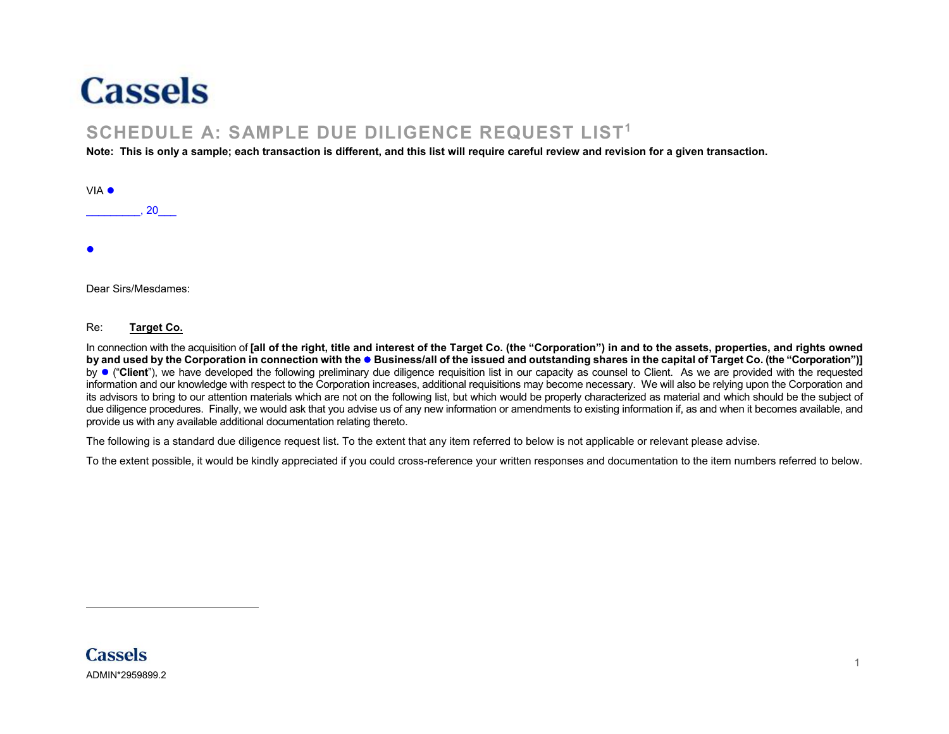

## **SCHEDULE A: SAMPLE DUE DILIGENCE REQUEST LIST<sup>1</sup>**

**Note: This is only a sample; each transaction is different, and this list will require careful review and revision for a given transaction.**

| VIA $\bullet$ |    |  |  |  |
|---------------|----|--|--|--|
|               | 20 |  |  |  |
|               |    |  |  |  |
| $\bullet$     |    |  |  |  |
|               |    |  |  |  |

Dear Sirs/Mesdames:

Re: **Target Co.**

In connection with the acquisition of **[all of the right, title and interest of the Target Co. (the "Corporation") in and to the assets, properties, and rights owned by and used by the Corporation in connection with the Business/all of the issued and outstanding shares in the capital of Target Co. (the "Corporation")]** by ("**Client**"), we have developed the following preliminary due diligence requisition list in our capacity as counsel to Client. As we are provided with the requested information and our knowledge with respect to the Corporation increases, additional requisitions may become necessary. We will also be relying upon the Corporation and its advisors to bring to our attention materials which are not on the following list, but which would be properly characterized as material and which should be the subject of due diligence procedures. Finally, we would ask that you advise us of any new information or amendments to existing information if, as and when it becomes available, and provide us with any available additional documentation relating thereto.

The following is a standard due diligence request list. To the extent that any item referred to below is not applicable or relevant please advise.

To the extent possible, it would be kindly appreciated if you could cross-reference your written responses and documentation to the item numbers referred to below.

 $\overline{a}$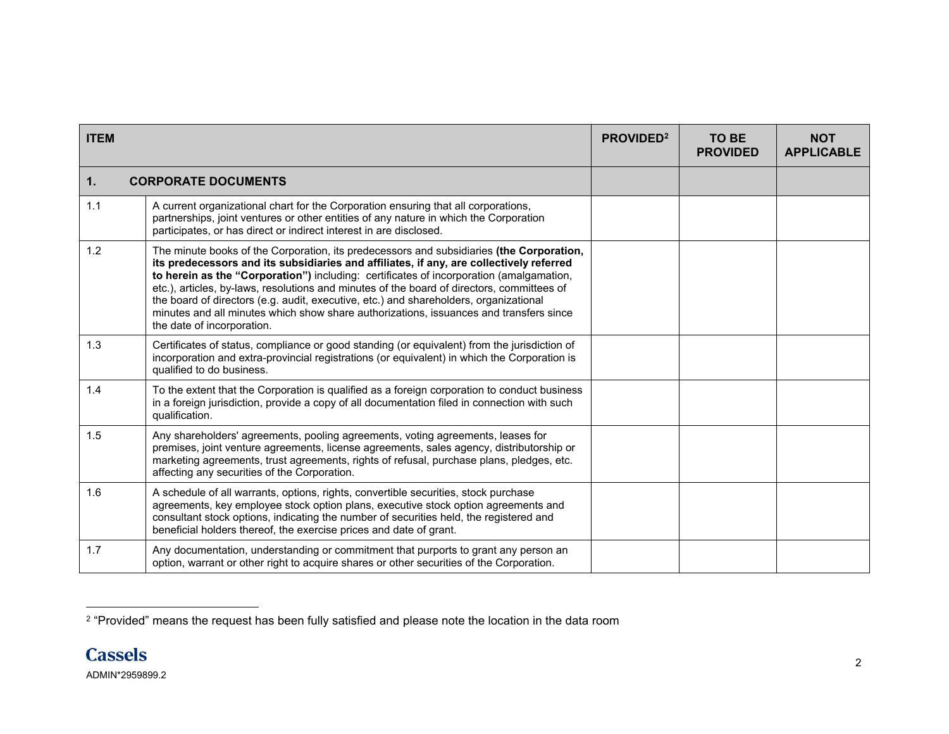| <b>ITEM</b> |                                                                                                                                                                                                                                                                                                                                                                                                                                                                                                                                                                                               | <b>PROVIDED</b> <sup>2</sup> | <b>TO BE</b><br><b>PROVIDED</b> | <b>NOT</b><br><b>APPLICABLE</b> |
|-------------|-----------------------------------------------------------------------------------------------------------------------------------------------------------------------------------------------------------------------------------------------------------------------------------------------------------------------------------------------------------------------------------------------------------------------------------------------------------------------------------------------------------------------------------------------------------------------------------------------|------------------------------|---------------------------------|---------------------------------|
| 1.          | <b>CORPORATE DOCUMENTS</b>                                                                                                                                                                                                                                                                                                                                                                                                                                                                                                                                                                    |                              |                                 |                                 |
| 1.1         | A current organizational chart for the Corporation ensuring that all corporations,<br>partnerships, joint ventures or other entities of any nature in which the Corporation<br>participates, or has direct or indirect interest in are disclosed.                                                                                                                                                                                                                                                                                                                                             |                              |                                 |                                 |
| 1.2         | The minute books of the Corporation, its predecessors and subsidiaries (the Corporation,<br>its predecessors and its subsidiaries and affiliates, if any, are collectively referred<br>to herein as the "Corporation") including: certificates of incorporation (amalgamation,<br>etc.), articles, by-laws, resolutions and minutes of the board of directors, committees of<br>the board of directors (e.g. audit, executive, etc.) and shareholders, organizational<br>minutes and all minutes which show share authorizations, issuances and transfers since<br>the date of incorporation. |                              |                                 |                                 |
| 1.3         | Certificates of status, compliance or good standing (or equivalent) from the jurisdiction of<br>incorporation and extra-provincial registrations (or equivalent) in which the Corporation is<br>qualified to do business.                                                                                                                                                                                                                                                                                                                                                                     |                              |                                 |                                 |
| 1.4         | To the extent that the Corporation is qualified as a foreign corporation to conduct business<br>in a foreign jurisdiction, provide a copy of all documentation filed in connection with such<br>qualification.                                                                                                                                                                                                                                                                                                                                                                                |                              |                                 |                                 |
| 1.5         | Any shareholders' agreements, pooling agreements, voting agreements, leases for<br>premises, joint venture agreements, license agreements, sales agency, distributorship or<br>marketing agreements, trust agreements, rights of refusal, purchase plans, pledges, etc.<br>affecting any securities of the Corporation.                                                                                                                                                                                                                                                                       |                              |                                 |                                 |
| 1.6         | A schedule of all warrants, options, rights, convertible securities, stock purchase<br>agreements, key employee stock option plans, executive stock option agreements and<br>consultant stock options, indicating the number of securities held, the registered and<br>beneficial holders thereof, the exercise prices and date of grant.                                                                                                                                                                                                                                                     |                              |                                 |                                 |
| 1.7         | Any documentation, understanding or commitment that purports to grant any person an<br>option, warrant or other right to acquire shares or other securities of the Corporation.                                                                                                                                                                                                                                                                                                                                                                                                               |                              |                                 |                                 |

 2 "Provided" means the request has been fully satisfied and please note the location in the data room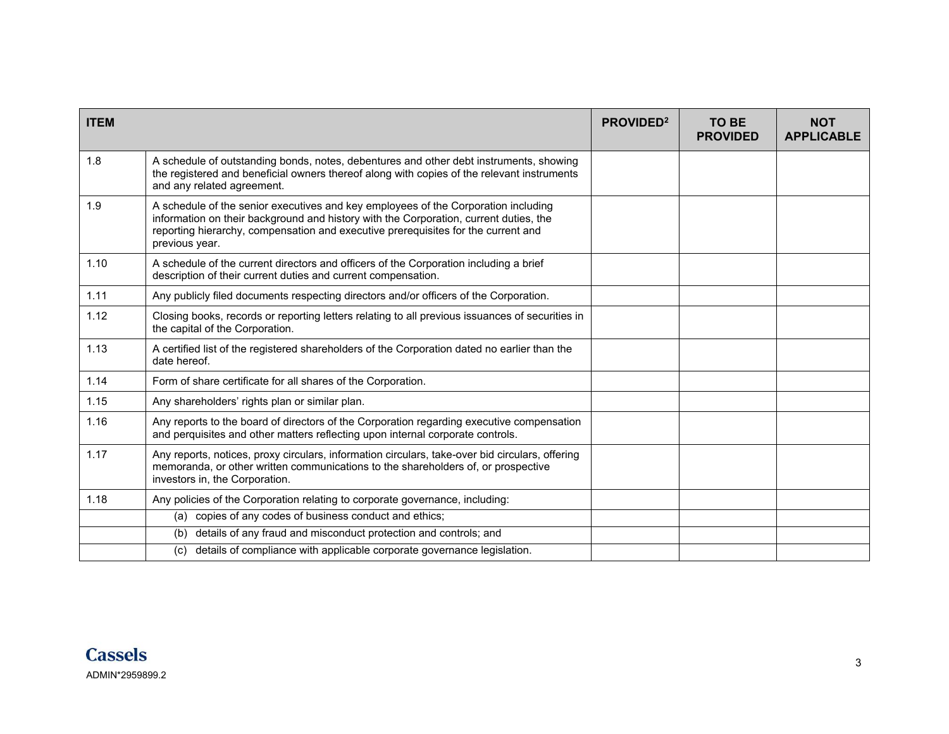| <b>ITEM</b> |                                                                                                                                                                                                                                                                                    | PROVIDED <sup>2</sup> | <b>TO BE</b><br><b>PROVIDED</b> | <b>NOT</b><br><b>APPLICABLE</b> |
|-------------|------------------------------------------------------------------------------------------------------------------------------------------------------------------------------------------------------------------------------------------------------------------------------------|-----------------------|---------------------------------|---------------------------------|
| 1.8         | A schedule of outstanding bonds, notes, debentures and other debt instruments, showing<br>the registered and beneficial owners thereof along with copies of the relevant instruments<br>and any related agreement.                                                                 |                       |                                 |                                 |
| 1.9         | A schedule of the senior executives and key employees of the Corporation including<br>information on their background and history with the Corporation, current duties, the<br>reporting hierarchy, compensation and executive prerequisites for the current and<br>previous year. |                       |                                 |                                 |
| 1.10        | A schedule of the current directors and officers of the Corporation including a brief<br>description of their current duties and current compensation.                                                                                                                             |                       |                                 |                                 |
| 1.11        | Any publicly filed documents respecting directors and/or officers of the Corporation.                                                                                                                                                                                              |                       |                                 |                                 |
| 1.12        | Closing books, records or reporting letters relating to all previous issuances of securities in<br>the capital of the Corporation.                                                                                                                                                 |                       |                                 |                                 |
| 1.13        | A certified list of the registered shareholders of the Corporation dated no earlier than the<br>date hereof.                                                                                                                                                                       |                       |                                 |                                 |
| 1.14        | Form of share certificate for all shares of the Corporation.                                                                                                                                                                                                                       |                       |                                 |                                 |
| 1.15        | Any shareholders' rights plan or similar plan.                                                                                                                                                                                                                                     |                       |                                 |                                 |
| 1.16        | Any reports to the board of directors of the Corporation regarding executive compensation<br>and perquisites and other matters reflecting upon internal corporate controls.                                                                                                        |                       |                                 |                                 |
| 1.17        | Any reports, notices, proxy circulars, information circulars, take-over bid circulars, offering<br>memoranda, or other written communications to the shareholders of, or prospective<br>investors in, the Corporation.                                                             |                       |                                 |                                 |
| 1.18        | Any policies of the Corporation relating to corporate governance, including:                                                                                                                                                                                                       |                       |                                 |                                 |
|             | (a) copies of any codes of business conduct and ethics;                                                                                                                                                                                                                            |                       |                                 |                                 |
|             | details of any fraud and misconduct protection and controls; and<br>(b)                                                                                                                                                                                                            |                       |                                 |                                 |
|             | details of compliance with applicable corporate governance legislation.<br>(c)                                                                                                                                                                                                     |                       |                                 |                                 |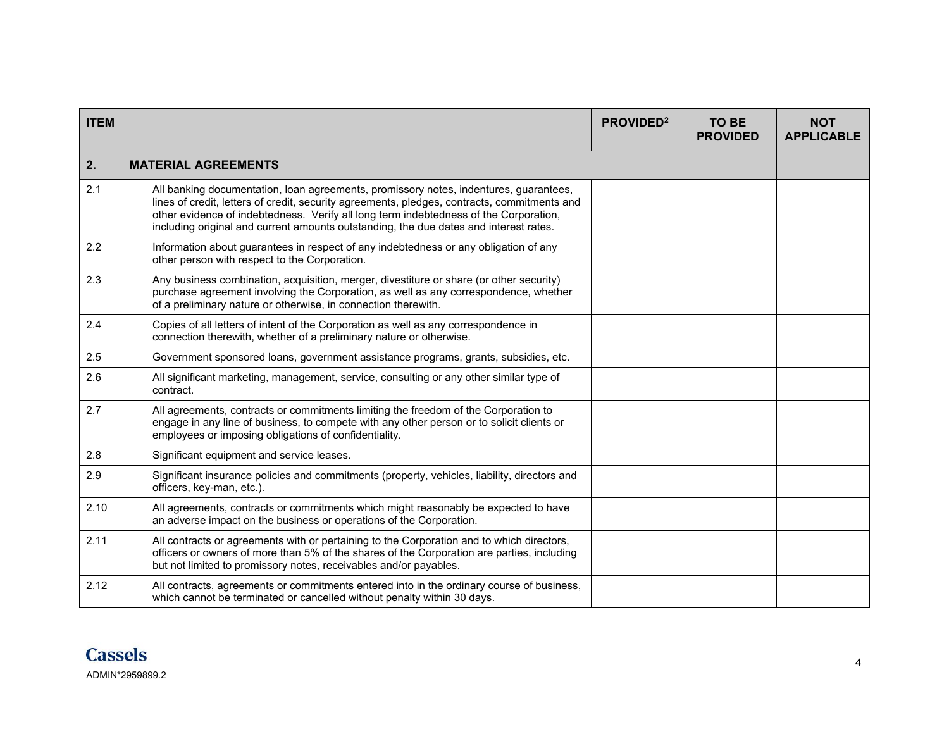| <b>ITEM</b> |                                                                                                                                                                                                                                                                                                                                                                         | PROVIDED <sup>2</sup> | <b>TO BE</b><br><b>PROVIDED</b> | <b>NOT</b><br><b>APPLICABLE</b> |
|-------------|-------------------------------------------------------------------------------------------------------------------------------------------------------------------------------------------------------------------------------------------------------------------------------------------------------------------------------------------------------------------------|-----------------------|---------------------------------|---------------------------------|
| 2.          | <b>MATERIAL AGREEMENTS</b>                                                                                                                                                                                                                                                                                                                                              |                       |                                 |                                 |
| 2.1         | All banking documentation, loan agreements, promissory notes, indentures, guarantees,<br>lines of credit, letters of credit, security agreements, pledges, contracts, commitments and<br>other evidence of indebtedness. Verify all long term indebtedness of the Corporation,<br>including original and current amounts outstanding, the due dates and interest rates. |                       |                                 |                                 |
| 2.2         | Information about guarantees in respect of any indebtedness or any obligation of any<br>other person with respect to the Corporation.                                                                                                                                                                                                                                   |                       |                                 |                                 |
| 2.3         | Any business combination, acquisition, merger, divestiture or share (or other security)<br>purchase agreement involving the Corporation, as well as any correspondence, whether<br>of a preliminary nature or otherwise, in connection therewith.                                                                                                                       |                       |                                 |                                 |
| 2.4         | Copies of all letters of intent of the Corporation as well as any correspondence in<br>connection therewith, whether of a preliminary nature or otherwise.                                                                                                                                                                                                              |                       |                                 |                                 |
| 2.5         | Government sponsored loans, government assistance programs, grants, subsidies, etc.                                                                                                                                                                                                                                                                                     |                       |                                 |                                 |
| 2.6         | All significant marketing, management, service, consulting or any other similar type of<br>contract.                                                                                                                                                                                                                                                                    |                       |                                 |                                 |
| 2.7         | All agreements, contracts or commitments limiting the freedom of the Corporation to<br>engage in any line of business, to compete with any other person or to solicit clients or<br>employees or imposing obligations of confidentiality.                                                                                                                               |                       |                                 |                                 |
| 2.8         | Significant equipment and service leases.                                                                                                                                                                                                                                                                                                                               |                       |                                 |                                 |
| 2.9         | Significant insurance policies and commitments (property, vehicles, liability, directors and<br>officers, key-man, etc.).                                                                                                                                                                                                                                               |                       |                                 |                                 |
| 2.10        | All agreements, contracts or commitments which might reasonably be expected to have<br>an adverse impact on the business or operations of the Corporation.                                                                                                                                                                                                              |                       |                                 |                                 |
| 2.11        | All contracts or agreements with or pertaining to the Corporation and to which directors,<br>officers or owners of more than 5% of the shares of the Corporation are parties, including<br>but not limited to promissory notes, receivables and/or payables.                                                                                                            |                       |                                 |                                 |
| 2.12        | All contracts, agreements or commitments entered into in the ordinary course of business,<br>which cannot be terminated or cancelled without penalty within 30 days.                                                                                                                                                                                                    |                       |                                 |                                 |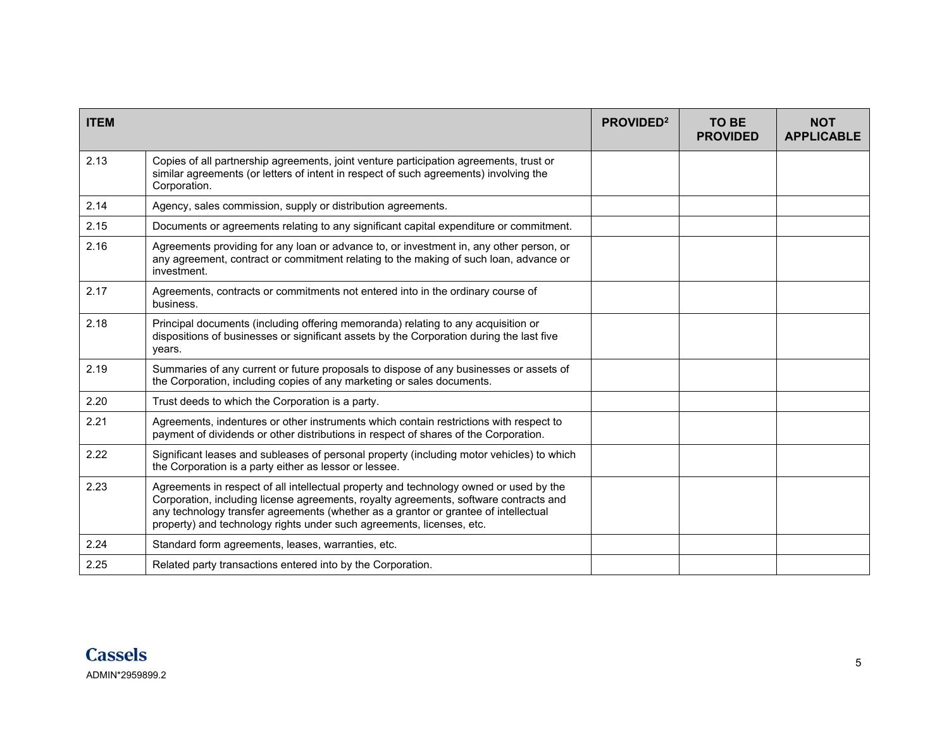| <b>ITEM</b> |                                                                                                                                                                                                                                                                                                                                                 | <b>PROVIDED</b> <sup>2</sup> | <b>TO BE</b><br><b>PROVIDED</b> | <b>NOT</b><br><b>APPLICABLE</b> |
|-------------|-------------------------------------------------------------------------------------------------------------------------------------------------------------------------------------------------------------------------------------------------------------------------------------------------------------------------------------------------|------------------------------|---------------------------------|---------------------------------|
| 2.13        | Copies of all partnership agreements, joint venture participation agreements, trust or<br>similar agreements (or letters of intent in respect of such agreements) involving the<br>Corporation.                                                                                                                                                 |                              |                                 |                                 |
| 2.14        | Agency, sales commission, supply or distribution agreements.                                                                                                                                                                                                                                                                                    |                              |                                 |                                 |
| 2.15        | Documents or agreements relating to any significant capital expenditure or commitment.                                                                                                                                                                                                                                                          |                              |                                 |                                 |
| 2.16        | Agreements providing for any loan or advance to, or investment in, any other person, or<br>any agreement, contract or commitment relating to the making of such loan, advance or<br>investment.                                                                                                                                                 |                              |                                 |                                 |
| 2.17        | Agreements, contracts or commitments not entered into in the ordinary course of<br>business.                                                                                                                                                                                                                                                    |                              |                                 |                                 |
| 2.18        | Principal documents (including offering memoranda) relating to any acquisition or<br>dispositions of businesses or significant assets by the Corporation during the last five<br>years.                                                                                                                                                         |                              |                                 |                                 |
| 2.19        | Summaries of any current or future proposals to dispose of any businesses or assets of<br>the Corporation, including copies of any marketing or sales documents.                                                                                                                                                                                |                              |                                 |                                 |
| 2.20        | Trust deeds to which the Corporation is a party.                                                                                                                                                                                                                                                                                                |                              |                                 |                                 |
| 2.21        | Agreements, indentures or other instruments which contain restrictions with respect to<br>payment of dividends or other distributions in respect of shares of the Corporation.                                                                                                                                                                  |                              |                                 |                                 |
| 2.22        | Significant leases and subleases of personal property (including motor vehicles) to which<br>the Corporation is a party either as lessor or lessee.                                                                                                                                                                                             |                              |                                 |                                 |
| 2.23        | Agreements in respect of all intellectual property and technology owned or used by the<br>Corporation, including license agreements, royalty agreements, software contracts and<br>any technology transfer agreements (whether as a grantor or grantee of intellectual<br>property) and technology rights under such agreements, licenses, etc. |                              |                                 |                                 |
| 2.24        | Standard form agreements, leases, warranties, etc.                                                                                                                                                                                                                                                                                              |                              |                                 |                                 |
| 2.25        | Related party transactions entered into by the Corporation.                                                                                                                                                                                                                                                                                     |                              |                                 |                                 |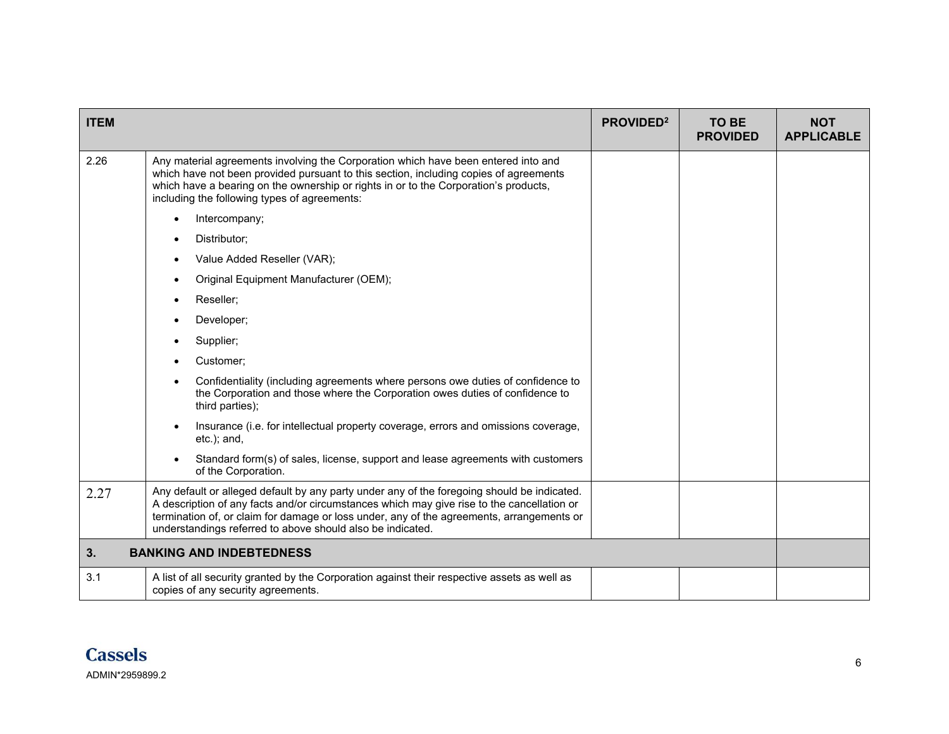| <b>ITEM</b> |                                                                                                                                                                                                                                                                                                                                                      | PROVIDED <sup>2</sup> | <b>TO BE</b><br><b>PROVIDED</b> | <b>NOT</b><br><b>APPLICABLE</b> |
|-------------|------------------------------------------------------------------------------------------------------------------------------------------------------------------------------------------------------------------------------------------------------------------------------------------------------------------------------------------------------|-----------------------|---------------------------------|---------------------------------|
| 2.26        | Any material agreements involving the Corporation which have been entered into and<br>which have not been provided pursuant to this section, including copies of agreements<br>which have a bearing on the ownership or rights in or to the Corporation's products,<br>including the following types of agreements:                                  |                       |                                 |                                 |
|             | Intercompany;<br>$\bullet$                                                                                                                                                                                                                                                                                                                           |                       |                                 |                                 |
|             | Distributor;                                                                                                                                                                                                                                                                                                                                         |                       |                                 |                                 |
|             | Value Added Reseller (VAR);                                                                                                                                                                                                                                                                                                                          |                       |                                 |                                 |
|             | Original Equipment Manufacturer (OEM);                                                                                                                                                                                                                                                                                                               |                       |                                 |                                 |
|             | Reseller;                                                                                                                                                                                                                                                                                                                                            |                       |                                 |                                 |
|             | Developer;                                                                                                                                                                                                                                                                                                                                           |                       |                                 |                                 |
|             | Supplier;                                                                                                                                                                                                                                                                                                                                            |                       |                                 |                                 |
|             | Customer;                                                                                                                                                                                                                                                                                                                                            |                       |                                 |                                 |
|             | Confidentiality (including agreements where persons owe duties of confidence to<br>the Corporation and those where the Corporation owes duties of confidence to<br>third parties);                                                                                                                                                                   |                       |                                 |                                 |
|             | Insurance (i.e. for intellectual property coverage, errors and omissions coverage,<br>$etc.$ ; and,                                                                                                                                                                                                                                                  |                       |                                 |                                 |
|             | Standard form(s) of sales, license, support and lease agreements with customers<br>of the Corporation.                                                                                                                                                                                                                                               |                       |                                 |                                 |
| 2.27        | Any default or alleged default by any party under any of the foregoing should be indicated.<br>A description of any facts and/or circumstances which may give rise to the cancellation or<br>termination of, or claim for damage or loss under, any of the agreements, arrangements or<br>understandings referred to above should also be indicated. |                       |                                 |                                 |
| 3.          | <b>BANKING AND INDEBTEDNESS</b>                                                                                                                                                                                                                                                                                                                      |                       |                                 |                                 |
| 3.1         | A list of all security granted by the Corporation against their respective assets as well as<br>copies of any security agreements.                                                                                                                                                                                                                   |                       |                                 |                                 |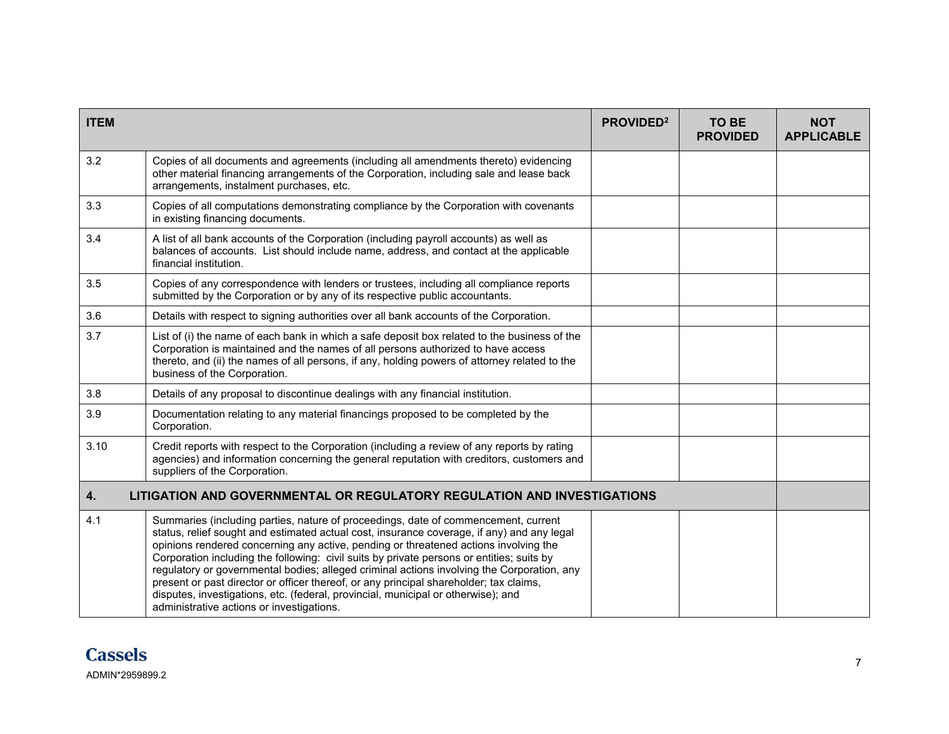| <b>ITEM</b>                                                                             |                                                                                                                                                                                                                                                                                                                                                                                                                                                                                                                                                                                                                                                                                                 | PROVIDED <sup>2</sup> | <b>TO BE</b><br><b>PROVIDED</b> | <b>NOT</b><br><b>APPLICABLE</b> |
|-----------------------------------------------------------------------------------------|-------------------------------------------------------------------------------------------------------------------------------------------------------------------------------------------------------------------------------------------------------------------------------------------------------------------------------------------------------------------------------------------------------------------------------------------------------------------------------------------------------------------------------------------------------------------------------------------------------------------------------------------------------------------------------------------------|-----------------------|---------------------------------|---------------------------------|
| 3.2                                                                                     | Copies of all documents and agreements (including all amendments thereto) evidencing<br>other material financing arrangements of the Corporation, including sale and lease back<br>arrangements, instalment purchases, etc.                                                                                                                                                                                                                                                                                                                                                                                                                                                                     |                       |                                 |                                 |
| 3.3                                                                                     | Copies of all computations demonstrating compliance by the Corporation with covenants<br>in existing financing documents.                                                                                                                                                                                                                                                                                                                                                                                                                                                                                                                                                                       |                       |                                 |                                 |
| 3.4                                                                                     | A list of all bank accounts of the Corporation (including payroll accounts) as well as<br>balances of accounts. List should include name, address, and contact at the applicable<br>financial institution.                                                                                                                                                                                                                                                                                                                                                                                                                                                                                      |                       |                                 |                                 |
| 3.5                                                                                     | Copies of any correspondence with lenders or trustees, including all compliance reports<br>submitted by the Corporation or by any of its respective public accountants.                                                                                                                                                                                                                                                                                                                                                                                                                                                                                                                         |                       |                                 |                                 |
| 3.6                                                                                     | Details with respect to signing authorities over all bank accounts of the Corporation.                                                                                                                                                                                                                                                                                                                                                                                                                                                                                                                                                                                                          |                       |                                 |                                 |
| 3.7                                                                                     | List of (i) the name of each bank in which a safe deposit box related to the business of the<br>Corporation is maintained and the names of all persons authorized to have access<br>thereto, and (ii) the names of all persons, if any, holding powers of attorney related to the<br>business of the Corporation.                                                                                                                                                                                                                                                                                                                                                                               |                       |                                 |                                 |
| 3.8                                                                                     | Details of any proposal to discontinue dealings with any financial institution.                                                                                                                                                                                                                                                                                                                                                                                                                                                                                                                                                                                                                 |                       |                                 |                                 |
| 3.9                                                                                     | Documentation relating to any material financings proposed to be completed by the<br>Corporation.                                                                                                                                                                                                                                                                                                                                                                                                                                                                                                                                                                                               |                       |                                 |                                 |
| 3.10                                                                                    | Credit reports with respect to the Corporation (including a review of any reports by rating<br>agencies) and information concerning the general reputation with creditors, customers and<br>suppliers of the Corporation.                                                                                                                                                                                                                                                                                                                                                                                                                                                                       |                       |                                 |                                 |
| LITIGATION AND GOVERNMENTAL OR REGULATORY REGULATION AND INVESTIGATIONS<br>$\mathbf{4}$ |                                                                                                                                                                                                                                                                                                                                                                                                                                                                                                                                                                                                                                                                                                 |                       |                                 |                                 |
| 4.1                                                                                     | Summaries (including parties, nature of proceedings, date of commencement, current<br>status, relief sought and estimated actual cost, insurance coverage, if any) and any legal<br>opinions rendered concerning any active, pending or threatened actions involving the<br>Corporation including the following: civil suits by private persons or entities; suits by<br>regulatory or governmental bodies; alleged criminal actions involving the Corporation, any<br>present or past director or officer thereof, or any principal shareholder; tax claims,<br>disputes, investigations, etc. (federal, provincial, municipal or otherwise); and<br>administrative actions or investigations. |                       |                                 |                                 |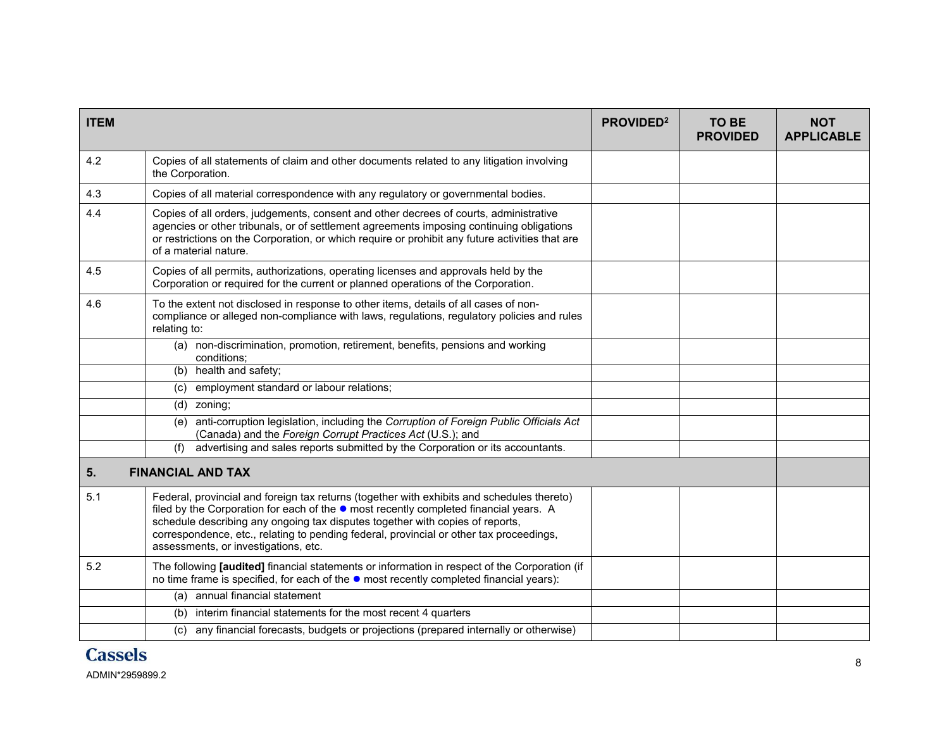| <b>ITEM</b> |                                                                                                                                                                                                                                                                                                                                                                                                                 | PROVIDED <sup>2</sup> | TO BE<br><b>PROVIDED</b> | <b>NOT</b><br><b>APPLICABLE</b> |
|-------------|-----------------------------------------------------------------------------------------------------------------------------------------------------------------------------------------------------------------------------------------------------------------------------------------------------------------------------------------------------------------------------------------------------------------|-----------------------|--------------------------|---------------------------------|
| 4.2         | Copies of all statements of claim and other documents related to any litigation involving<br>the Corporation.                                                                                                                                                                                                                                                                                                   |                       |                          |                                 |
| 4.3         | Copies of all material correspondence with any regulatory or governmental bodies.                                                                                                                                                                                                                                                                                                                               |                       |                          |                                 |
| 4.4         | Copies of all orders, judgements, consent and other decrees of courts, administrative<br>agencies or other tribunals, or of settlement agreements imposing continuing obligations<br>or restrictions on the Corporation, or which require or prohibit any future activities that are<br>of a material nature.                                                                                                   |                       |                          |                                 |
| 4.5         | Copies of all permits, authorizations, operating licenses and approvals held by the<br>Corporation or required for the current or planned operations of the Corporation.                                                                                                                                                                                                                                        |                       |                          |                                 |
| 4.6         | To the extent not disclosed in response to other items, details of all cases of non-<br>compliance or alleged non-compliance with laws, regulations, regulatory policies and rules<br>relating to:                                                                                                                                                                                                              |                       |                          |                                 |
|             | non-discrimination, promotion, retirement, benefits, pensions and working<br>(a)<br>conditions:                                                                                                                                                                                                                                                                                                                 |                       |                          |                                 |
|             | (b) health and safety;                                                                                                                                                                                                                                                                                                                                                                                          |                       |                          |                                 |
|             | employment standard or labour relations;<br>(c)                                                                                                                                                                                                                                                                                                                                                                 |                       |                          |                                 |
|             | (d) zoning;                                                                                                                                                                                                                                                                                                                                                                                                     |                       |                          |                                 |
|             | anti-corruption legislation, including the Corruption of Foreign Public Officials Act<br>(e)<br>(Canada) and the Foreign Corrupt Practices Act (U.S.); and                                                                                                                                                                                                                                                      |                       |                          |                                 |
|             | advertising and sales reports submitted by the Corporation or its accountants.<br>(f)                                                                                                                                                                                                                                                                                                                           |                       |                          |                                 |
| 5.          | <b>FINANCIAL AND TAX</b>                                                                                                                                                                                                                                                                                                                                                                                        |                       |                          |                                 |
| 5.1         | Federal, provincial and foreign tax returns (together with exhibits and schedules thereto)<br>filed by the Corporation for each of the $\bullet$ most recently completed financial years. A<br>schedule describing any ongoing tax disputes together with copies of reports,<br>correspondence, etc., relating to pending federal, provincial or other tax proceedings,<br>assessments, or investigations, etc. |                       |                          |                                 |
| 5.2         | The following [audited] financial statements or information in respect of the Corporation (if<br>no time frame is specified, for each of the $\bullet$ most recently completed financial years):                                                                                                                                                                                                                |                       |                          |                                 |
|             | annual financial statement<br>(a)                                                                                                                                                                                                                                                                                                                                                                               |                       |                          |                                 |
|             | interim financial statements for the most recent 4 quarters<br>(b)                                                                                                                                                                                                                                                                                                                                              |                       |                          |                                 |
|             | (c) any financial forecasts, budgets or projections (prepared internally or otherwise)                                                                                                                                                                                                                                                                                                                          |                       |                          |                                 |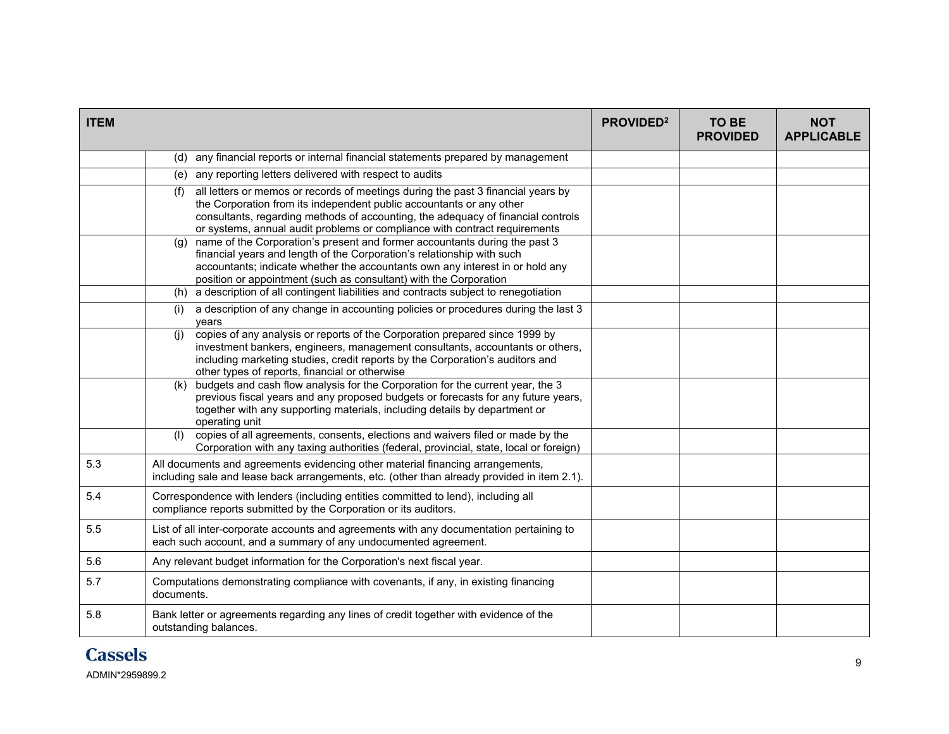| <b>ITEM</b> |                                                                                                                                                                                                                                                                                                                                   | PROVIDED <sup>2</sup> | <b>TO BE</b><br><b>PROVIDED</b> | <b>NOT</b><br><b>APPLICABLE</b> |
|-------------|-----------------------------------------------------------------------------------------------------------------------------------------------------------------------------------------------------------------------------------------------------------------------------------------------------------------------------------|-----------------------|---------------------------------|---------------------------------|
|             | (d) any financial reports or internal financial statements prepared by management                                                                                                                                                                                                                                                 |                       |                                 |                                 |
|             | (e) any reporting letters delivered with respect to audits                                                                                                                                                                                                                                                                        |                       |                                 |                                 |
|             | all letters or memos or records of meetings during the past 3 financial years by<br>(f)<br>the Corporation from its independent public accountants or any other<br>consultants, regarding methods of accounting, the adequacy of financial controls<br>or systems, annual audit problems or compliance with contract requirements |                       |                                 |                                 |
|             | name of the Corporation's present and former accountants during the past 3<br>(q)<br>financial years and length of the Corporation's relationship with such<br>accountants; indicate whether the accountants own any interest in or hold any<br>position or appointment (such as consultant) with the Corporation                 |                       |                                 |                                 |
|             | (h) a description of all contingent liabilities and contracts subject to renegotiation                                                                                                                                                                                                                                            |                       |                                 |                                 |
|             | a description of any change in accounting policies or procedures during the last 3<br>(i)<br>vears                                                                                                                                                                                                                                |                       |                                 |                                 |
|             | copies of any analysis or reports of the Corporation prepared since 1999 by<br>(i)<br>investment bankers, engineers, management consultants, accountants or others,<br>including marketing studies, credit reports by the Corporation's auditors and<br>other types of reports, financial or otherwise                            |                       |                                 |                                 |
|             | (k) budgets and cash flow analysis for the Corporation for the current year, the 3<br>previous fiscal years and any proposed budgets or forecasts for any future years,<br>together with any supporting materials, including details by department or<br>operating unit                                                           |                       |                                 |                                 |
|             | copies of all agreements, consents, elections and waivers filed or made by the<br>(1)<br>Corporation with any taxing authorities (federal, provincial, state, local or foreign)                                                                                                                                                   |                       |                                 |                                 |
| 5.3         | All documents and agreements evidencing other material financing arrangements,<br>including sale and lease back arrangements, etc. (other than already provided in item 2.1).                                                                                                                                                     |                       |                                 |                                 |
| 5.4         | Correspondence with lenders (including entities committed to lend), including all<br>compliance reports submitted by the Corporation or its auditors.                                                                                                                                                                             |                       |                                 |                                 |
| 5.5         | List of all inter-corporate accounts and agreements with any documentation pertaining to<br>each such account, and a summary of any undocumented agreement.                                                                                                                                                                       |                       |                                 |                                 |
| 5.6         | Any relevant budget information for the Corporation's next fiscal year.                                                                                                                                                                                                                                                           |                       |                                 |                                 |
| 5.7         | Computations demonstrating compliance with covenants, if any, in existing financing<br>documents.                                                                                                                                                                                                                                 |                       |                                 |                                 |
| 5.8         | Bank letter or agreements regarding any lines of credit together with evidence of the<br>outstanding balances.                                                                                                                                                                                                                    |                       |                                 |                                 |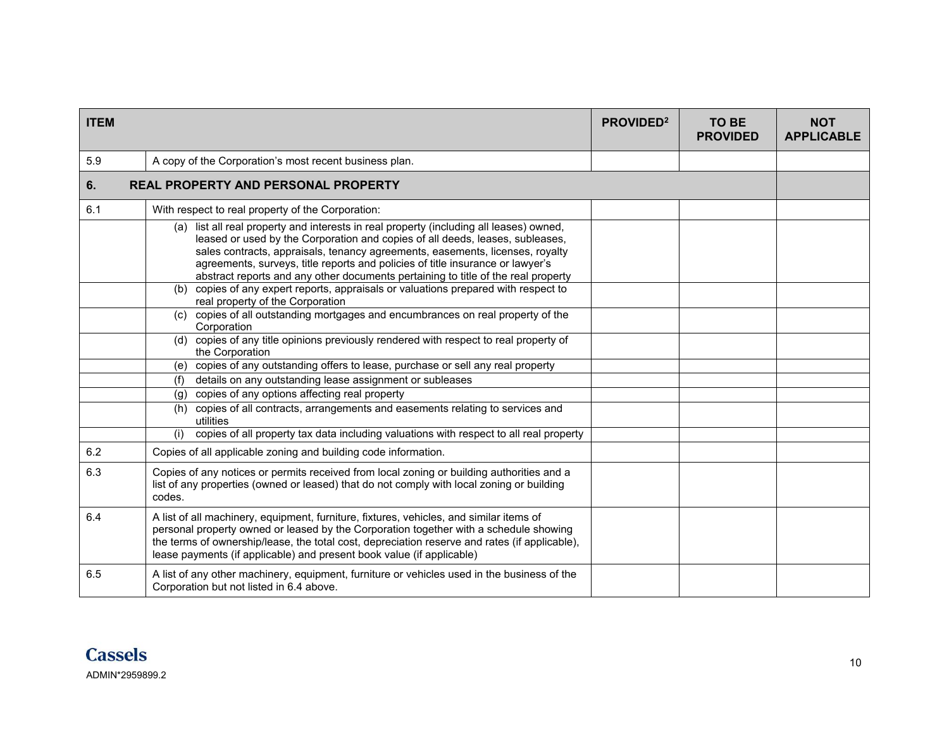| <b>ITEM</b> |                                                                                                                                                                                                                                                                                                                                                                                                                                                                                                                                                             | <b>PROVIDED<sup>2</sup></b> | <b>TO BE</b><br><b>PROVIDED</b> | <b>NOT</b><br><b>APPLICABLE</b> |  |
|-------------|-------------------------------------------------------------------------------------------------------------------------------------------------------------------------------------------------------------------------------------------------------------------------------------------------------------------------------------------------------------------------------------------------------------------------------------------------------------------------------------------------------------------------------------------------------------|-----------------------------|---------------------------------|---------------------------------|--|
| 5.9         | A copy of the Corporation's most recent business plan.                                                                                                                                                                                                                                                                                                                                                                                                                                                                                                      |                             |                                 |                                 |  |
| 6.          | <b>REAL PROPERTY AND PERSONAL PROPERTY</b>                                                                                                                                                                                                                                                                                                                                                                                                                                                                                                                  |                             |                                 |                                 |  |
| 6.1         | With respect to real property of the Corporation:                                                                                                                                                                                                                                                                                                                                                                                                                                                                                                           |                             |                                 |                                 |  |
|             | (a) list all real property and interests in real property (including all leases) owned,<br>leased or used by the Corporation and copies of all deeds, leases, subleases,<br>sales contracts, appraisals, tenancy agreements, easements, licenses, royalty<br>agreements, surveys, title reports and policies of title insurance or lawyer's<br>abstract reports and any other documents pertaining to title of the real property<br>(b) copies of any expert reports, appraisals or valuations prepared with respect to<br>real property of the Corporation |                             |                                 |                                 |  |
|             | (c) copies of all outstanding mortgages and encumbrances on real property of the<br>Corporation                                                                                                                                                                                                                                                                                                                                                                                                                                                             |                             |                                 |                                 |  |
|             | (d) copies of any title opinions previously rendered with respect to real property of<br>the Corporation                                                                                                                                                                                                                                                                                                                                                                                                                                                    |                             |                                 |                                 |  |
|             | (e) copies of any outstanding offers to lease, purchase or sell any real property                                                                                                                                                                                                                                                                                                                                                                                                                                                                           |                             |                                 |                                 |  |
|             | details on any outstanding lease assignment or subleases<br>(f)                                                                                                                                                                                                                                                                                                                                                                                                                                                                                             |                             |                                 |                                 |  |
|             | copies of any options affecting real property<br>(g)                                                                                                                                                                                                                                                                                                                                                                                                                                                                                                        |                             |                                 |                                 |  |
|             | (h) copies of all contracts, arrangements and easements relating to services and<br>utilities                                                                                                                                                                                                                                                                                                                                                                                                                                                               |                             |                                 |                                 |  |
|             | copies of all property tax data including valuations with respect to all real property<br>(i)                                                                                                                                                                                                                                                                                                                                                                                                                                                               |                             |                                 |                                 |  |
| 6.2         | Copies of all applicable zoning and building code information.                                                                                                                                                                                                                                                                                                                                                                                                                                                                                              |                             |                                 |                                 |  |
| 6.3         | Copies of any notices or permits received from local zoning or building authorities and a<br>list of any properties (owned or leased) that do not comply with local zoning or building<br>codes.                                                                                                                                                                                                                                                                                                                                                            |                             |                                 |                                 |  |
| 6.4         | A list of all machinery, equipment, furniture, fixtures, vehicles, and similar items of<br>personal property owned or leased by the Corporation together with a schedule showing<br>the terms of ownership/lease, the total cost, depreciation reserve and rates (if applicable),<br>lease payments (if applicable) and present book value (if applicable)                                                                                                                                                                                                  |                             |                                 |                                 |  |
| 6.5         | A list of any other machinery, equipment, furniture or vehicles used in the business of the<br>Corporation but not listed in 6.4 above.                                                                                                                                                                                                                                                                                                                                                                                                                     |                             |                                 |                                 |  |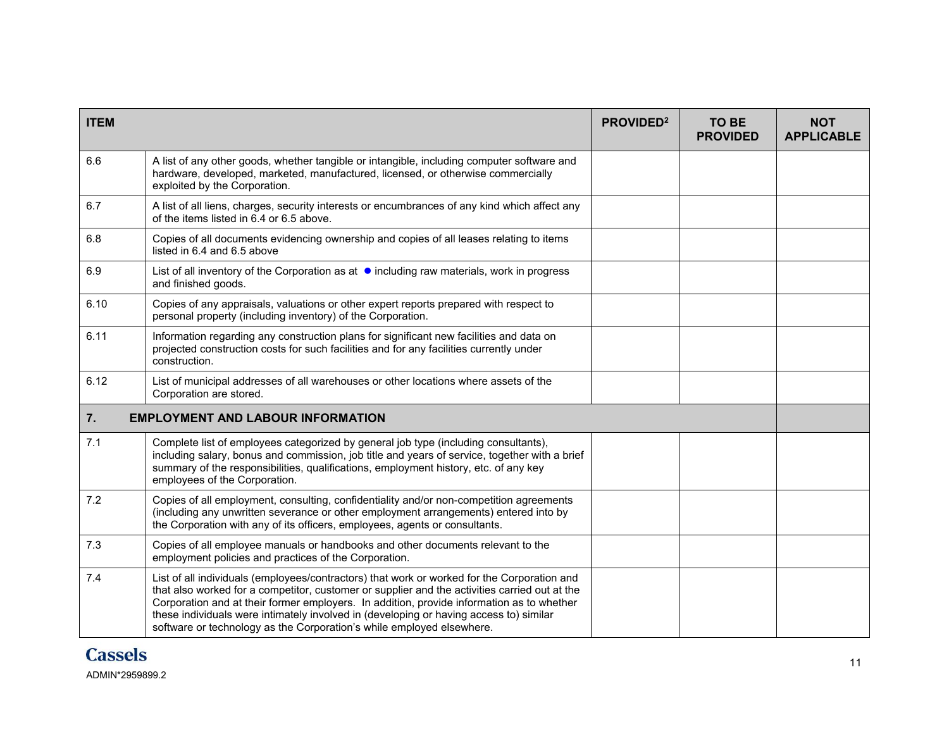| <b>ITEM</b> |                                                                                                                                                                                                                                                                                                                                                                                                                                                              | PROVIDED <sup>2</sup> | <b>TO BE</b><br><b>PROVIDED</b> | <b>NOT</b><br><b>APPLICABLE</b> |
|-------------|--------------------------------------------------------------------------------------------------------------------------------------------------------------------------------------------------------------------------------------------------------------------------------------------------------------------------------------------------------------------------------------------------------------------------------------------------------------|-----------------------|---------------------------------|---------------------------------|
| 6.6         | A list of any other goods, whether tangible or intangible, including computer software and<br>hardware, developed, marketed, manufactured, licensed, or otherwise commercially<br>exploited by the Corporation.                                                                                                                                                                                                                                              |                       |                                 |                                 |
| 6.7         | A list of all liens, charges, security interests or encumbrances of any kind which affect any<br>of the items listed in 6.4 or 6.5 above.                                                                                                                                                                                                                                                                                                                    |                       |                                 |                                 |
| 6.8         | Copies of all documents evidencing ownership and copies of all leases relating to items<br>listed in 6.4 and 6.5 above                                                                                                                                                                                                                                                                                                                                       |                       |                                 |                                 |
| 6.9         | List of all inventory of the Corporation as at $\bullet$ including raw materials, work in progress<br>and finished goods.                                                                                                                                                                                                                                                                                                                                    |                       |                                 |                                 |
| 6.10        | Copies of any appraisals, valuations or other expert reports prepared with respect to<br>personal property (including inventory) of the Corporation.                                                                                                                                                                                                                                                                                                         |                       |                                 |                                 |
| 6.11        | Information regarding any construction plans for significant new facilities and data on<br>projected construction costs for such facilities and for any facilities currently under<br>construction.                                                                                                                                                                                                                                                          |                       |                                 |                                 |
| 6.12        | List of municipal addresses of all warehouses or other locations where assets of the<br>Corporation are stored.                                                                                                                                                                                                                                                                                                                                              |                       |                                 |                                 |
| 7.          | <b>EMPLOYMENT AND LABOUR INFORMATION</b>                                                                                                                                                                                                                                                                                                                                                                                                                     |                       |                                 |                                 |
| 7.1         | Complete list of employees categorized by general job type (including consultants),<br>including salary, bonus and commission, job title and years of service, together with a brief<br>summary of the responsibilities, qualifications, employment history, etc. of any key<br>employees of the Corporation.                                                                                                                                                |                       |                                 |                                 |
| 7.2         | Copies of all employment, consulting, confidentiality and/or non-competition agreements<br>(including any unwritten severance or other employment arrangements) entered into by<br>the Corporation with any of its officers, employees, agents or consultants.                                                                                                                                                                                               |                       |                                 |                                 |
| 7.3         | Copies of all employee manuals or handbooks and other documents relevant to the<br>employment policies and practices of the Corporation.                                                                                                                                                                                                                                                                                                                     |                       |                                 |                                 |
| 7.4         | List of all individuals (employees/contractors) that work or worked for the Corporation and<br>that also worked for a competitor, customer or supplier and the activities carried out at the<br>Corporation and at their former employers. In addition, provide information as to whether<br>these individuals were intimately involved in (developing or having access to) similar<br>software or technology as the Corporation's while employed elsewhere. |                       |                                 |                                 |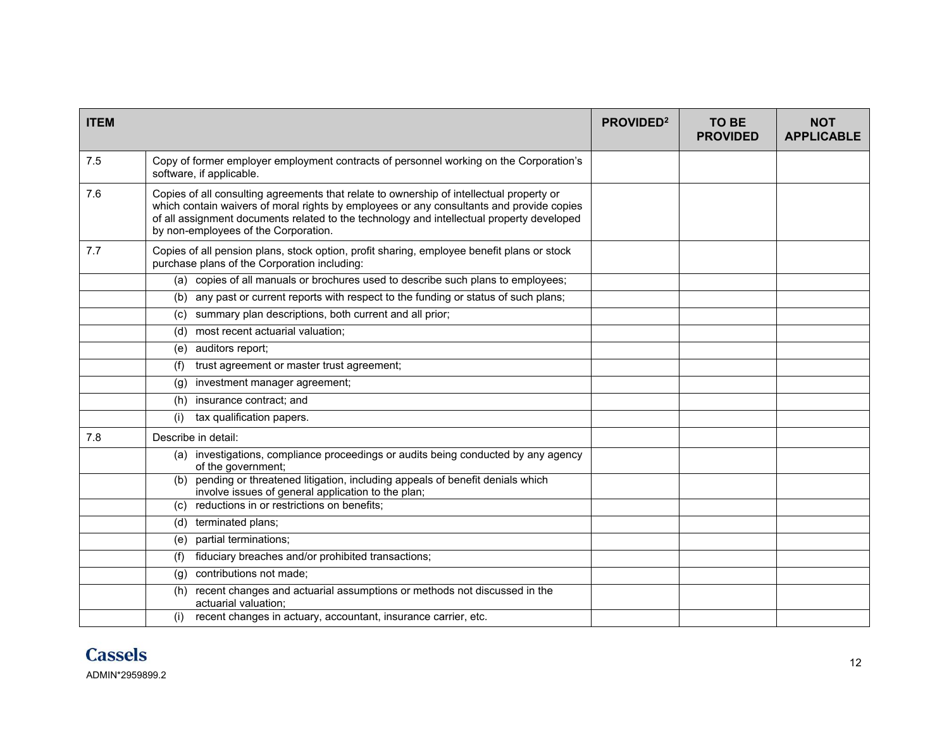| <b>ITEM</b> |                                                                                                                                                                                                                                                                                                                           | PROVIDED <sup>2</sup> | <b>TO BE</b><br><b>PROVIDED</b> | <b>NOT</b><br><b>APPLICABLE</b> |
|-------------|---------------------------------------------------------------------------------------------------------------------------------------------------------------------------------------------------------------------------------------------------------------------------------------------------------------------------|-----------------------|---------------------------------|---------------------------------|
| 7.5         | Copy of former employer employment contracts of personnel working on the Corporation's<br>software, if applicable.                                                                                                                                                                                                        |                       |                                 |                                 |
| 7.6         | Copies of all consulting agreements that relate to ownership of intellectual property or<br>which contain waivers of moral rights by employees or any consultants and provide copies<br>of all assignment documents related to the technology and intellectual property developed<br>by non-employees of the Corporation. |                       |                                 |                                 |
| 7.7         | Copies of all pension plans, stock option, profit sharing, employee benefit plans or stock<br>purchase plans of the Corporation including:                                                                                                                                                                                |                       |                                 |                                 |
|             | (a) copies of all manuals or brochures used to describe such plans to employees;                                                                                                                                                                                                                                          |                       |                                 |                                 |
|             | any past or current reports with respect to the funding or status of such plans;<br>(b)                                                                                                                                                                                                                                   |                       |                                 |                                 |
|             | summary plan descriptions, both current and all prior;<br>(C)                                                                                                                                                                                                                                                             |                       |                                 |                                 |
|             | (d) most recent actuarial valuation;                                                                                                                                                                                                                                                                                      |                       |                                 |                                 |
|             | auditors report;<br>(e)                                                                                                                                                                                                                                                                                                   |                       |                                 |                                 |
|             | trust agreement or master trust agreement;<br>(f)                                                                                                                                                                                                                                                                         |                       |                                 |                                 |
|             | investment manager agreement;<br>(g)                                                                                                                                                                                                                                                                                      |                       |                                 |                                 |
|             | insurance contract; and<br>(h)                                                                                                                                                                                                                                                                                            |                       |                                 |                                 |
|             | tax qualification papers.<br>(i)                                                                                                                                                                                                                                                                                          |                       |                                 |                                 |
| 7.8         | Describe in detail:                                                                                                                                                                                                                                                                                                       |                       |                                 |                                 |
|             | (a) investigations, compliance proceedings or audits being conducted by any agency<br>of the government;                                                                                                                                                                                                                  |                       |                                 |                                 |
|             | pending or threatened litigation, including appeals of benefit denials which<br>(b)<br>involve issues of general application to the plan;                                                                                                                                                                                 |                       |                                 |                                 |
|             | reductions in or restrictions on benefits;<br>(c)                                                                                                                                                                                                                                                                         |                       |                                 |                                 |
|             | (d) terminated plans;                                                                                                                                                                                                                                                                                                     |                       |                                 |                                 |
|             | partial terminations;<br>(e)                                                                                                                                                                                                                                                                                              |                       |                                 |                                 |
|             | fiduciary breaches and/or prohibited transactions;<br>(f)                                                                                                                                                                                                                                                                 |                       |                                 |                                 |
|             | contributions not made:<br>(q)                                                                                                                                                                                                                                                                                            |                       |                                 |                                 |
|             | recent changes and actuarial assumptions or methods not discussed in the<br>(h)<br>actuarial valuation:                                                                                                                                                                                                                   |                       |                                 |                                 |
|             | recent changes in actuary, accountant, insurance carrier, etc.                                                                                                                                                                                                                                                            |                       |                                 |                                 |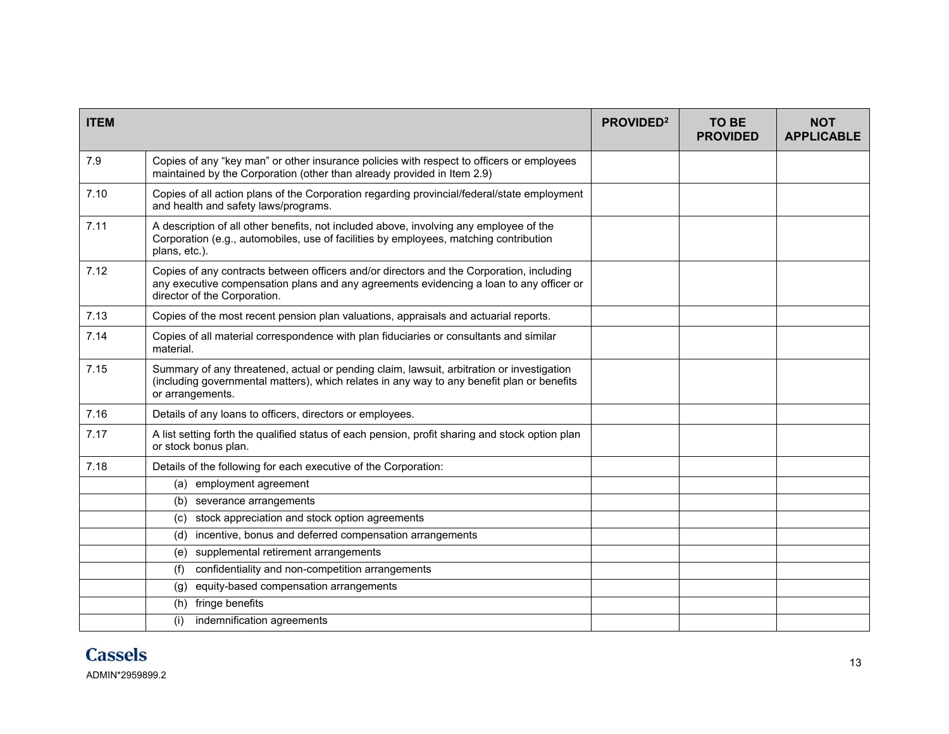| <b>ITEM</b> |                                                                                                                                                                                                                     | <b>PROVIDED<sup>2</sup></b> | TO BE<br><b>PROVIDED</b> | <b>NOT</b><br><b>APPLICABLE</b> |
|-------------|---------------------------------------------------------------------------------------------------------------------------------------------------------------------------------------------------------------------|-----------------------------|--------------------------|---------------------------------|
| 7.9         | Copies of any "key man" or other insurance policies with respect to officers or employees<br>maintained by the Corporation (other than already provided in Item 2.9)                                                |                             |                          |                                 |
| 7.10        | Copies of all action plans of the Corporation regarding provincial/federal/state employment<br>and health and safety laws/programs.                                                                                 |                             |                          |                                 |
| 7.11        | A description of all other benefits, not included above, involving any employee of the<br>Corporation (e.g., automobiles, use of facilities by employees, matching contribution<br>plans, etc.).                    |                             |                          |                                 |
| 7.12        | Copies of any contracts between officers and/or directors and the Corporation, including<br>any executive compensation plans and any agreements evidencing a loan to any officer or<br>director of the Corporation. |                             |                          |                                 |
| 7.13        | Copies of the most recent pension plan valuations, appraisals and actuarial reports.                                                                                                                                |                             |                          |                                 |
| 7.14        | Copies of all material correspondence with plan fiduciaries or consultants and similar<br>material.                                                                                                                 |                             |                          |                                 |
| 7.15        | Summary of any threatened, actual or pending claim, lawsuit, arbitration or investigation<br>(including governmental matters), which relates in any way to any benefit plan or benefits<br>or arrangements.         |                             |                          |                                 |
| 7.16        | Details of any loans to officers, directors or employees.                                                                                                                                                           |                             |                          |                                 |
| 7.17        | A list setting forth the qualified status of each pension, profit sharing and stock option plan<br>or stock bonus plan.                                                                                             |                             |                          |                                 |
| 7.18        | Details of the following for each executive of the Corporation:                                                                                                                                                     |                             |                          |                                 |
|             | employment agreement<br>(a)                                                                                                                                                                                         |                             |                          |                                 |
|             | severance arrangements<br>(b)                                                                                                                                                                                       |                             |                          |                                 |
|             | stock appreciation and stock option agreements<br>(c)                                                                                                                                                               |                             |                          |                                 |
|             | incentive, bonus and deferred compensation arrangements<br>(d)                                                                                                                                                      |                             |                          |                                 |
|             | supplemental retirement arrangements<br>(e)                                                                                                                                                                         |                             |                          |                                 |
|             | (f)<br>confidentiality and non-competition arrangements                                                                                                                                                             |                             |                          |                                 |
|             | equity-based compensation arrangements<br>(g)                                                                                                                                                                       |                             |                          |                                 |
|             | fringe benefits<br>(h)                                                                                                                                                                                              |                             |                          |                                 |
|             | indemnification agreements<br>(i)                                                                                                                                                                                   |                             |                          |                                 |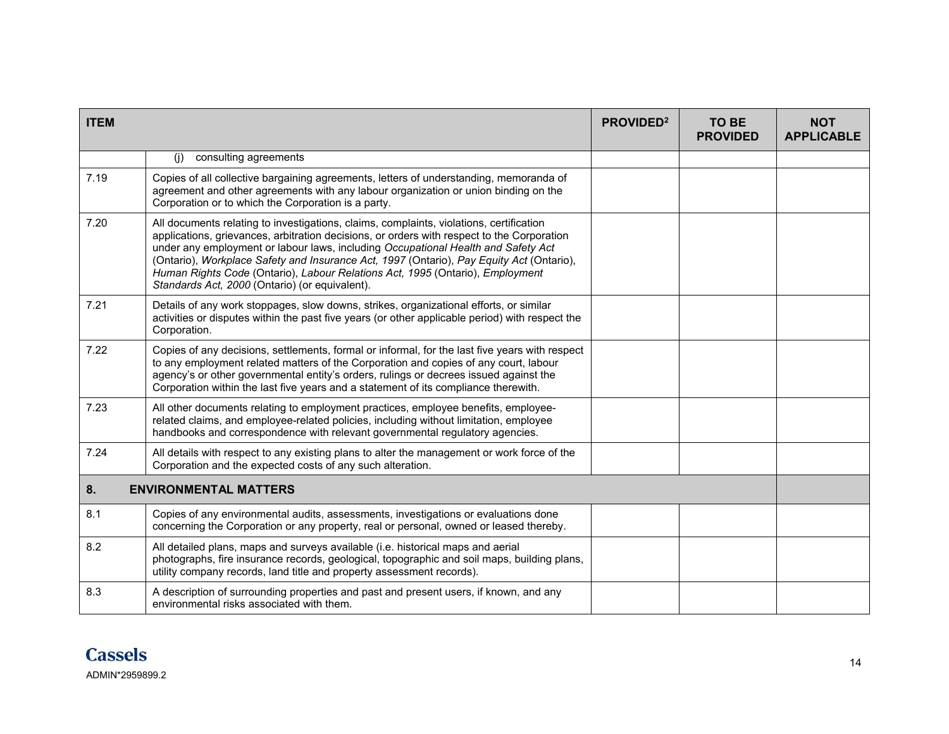| <b>ITEM</b> |                                                                                                                                                                                                                                                                                                                                                                                                                                                                                                           | PROVIDED <sup>2</sup> | TO BE<br><b>PROVIDED</b> | <b>NOT</b><br><b>APPLICABLE</b> |
|-------------|-----------------------------------------------------------------------------------------------------------------------------------------------------------------------------------------------------------------------------------------------------------------------------------------------------------------------------------------------------------------------------------------------------------------------------------------------------------------------------------------------------------|-----------------------|--------------------------|---------------------------------|
|             | consulting agreements<br>(i)                                                                                                                                                                                                                                                                                                                                                                                                                                                                              |                       |                          |                                 |
| 7.19        | Copies of all collective bargaining agreements, letters of understanding, memoranda of<br>agreement and other agreements with any labour organization or union binding on the<br>Corporation or to which the Corporation is a party.                                                                                                                                                                                                                                                                      |                       |                          |                                 |
| 7.20        | All documents relating to investigations, claims, complaints, violations, certification<br>applications, grievances, arbitration decisions, or orders with respect to the Corporation<br>under any employment or labour laws, including Occupational Health and Safety Act<br>(Ontario), Workplace Safety and Insurance Act, 1997 (Ontario), Pay Equity Act (Ontario),<br>Human Rights Code (Ontario), Labour Relations Act, 1995 (Ontario), Employment<br>Standards Act, 2000 (Ontario) (or equivalent). |                       |                          |                                 |
| 7.21        | Details of any work stoppages, slow downs, strikes, organizational efforts, or similar<br>activities or disputes within the past five years (or other applicable period) with respect the<br>Corporation.                                                                                                                                                                                                                                                                                                 |                       |                          |                                 |
| 7.22        | Copies of any decisions, settlements, formal or informal, for the last five years with respect<br>to any employment related matters of the Corporation and copies of any court, labour<br>agency's or other governmental entity's orders, rulings or decrees issued against the<br>Corporation within the last five years and a statement of its compliance therewith.                                                                                                                                    |                       |                          |                                 |
| 7.23        | All other documents relating to employment practices, employee benefits, employee-<br>related claims, and employee-related policies, including without limitation, employee<br>handbooks and correspondence with relevant governmental regulatory agencies.                                                                                                                                                                                                                                               |                       |                          |                                 |
| 7.24        | All details with respect to any existing plans to alter the management or work force of the<br>Corporation and the expected costs of any such alteration.                                                                                                                                                                                                                                                                                                                                                 |                       |                          |                                 |
| 8.          | <b>ENVIRONMENTAL MATTERS</b>                                                                                                                                                                                                                                                                                                                                                                                                                                                                              |                       |                          |                                 |
| 8.1         | Copies of any environmental audits, assessments, investigations or evaluations done<br>concerning the Corporation or any property, real or personal, owned or leased thereby.                                                                                                                                                                                                                                                                                                                             |                       |                          |                                 |
| 8.2         | All detailed plans, maps and surveys available (i.e. historical maps and aerial<br>photographs, fire insurance records, geological, topographic and soil maps, building plans,<br>utility company records, land title and property assessment records).                                                                                                                                                                                                                                                   |                       |                          |                                 |
| 8.3         | A description of surrounding properties and past and present users, if known, and any<br>environmental risks associated with them.                                                                                                                                                                                                                                                                                                                                                                        |                       |                          |                                 |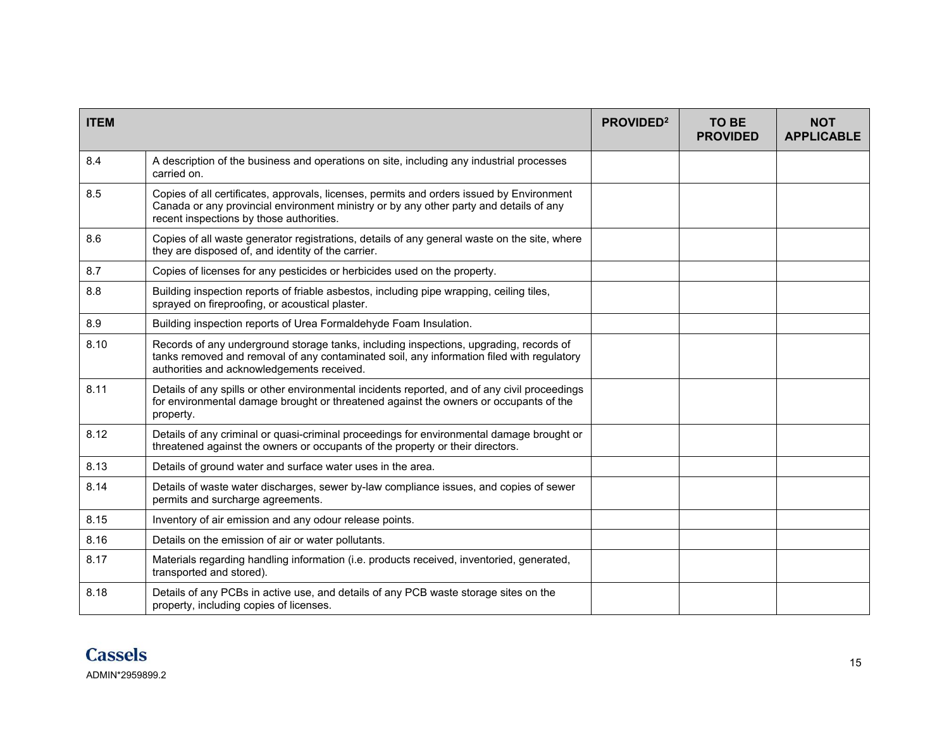| <b>ITEM</b> |                                                                                                                                                                                                                                   | PROVIDED <sup>2</sup> | <b>TO BE</b><br><b>PROVIDED</b> | <b>NOT</b><br><b>APPLICABLE</b> |
|-------------|-----------------------------------------------------------------------------------------------------------------------------------------------------------------------------------------------------------------------------------|-----------------------|---------------------------------|---------------------------------|
| 8.4         | A description of the business and operations on site, including any industrial processes<br>carried on.                                                                                                                           |                       |                                 |                                 |
| 8.5         | Copies of all certificates, approvals, licenses, permits and orders issued by Environment<br>Canada or any provincial environment ministry or by any other party and details of any<br>recent inspections by those authorities.   |                       |                                 |                                 |
| 8.6         | Copies of all waste generator registrations, details of any general waste on the site, where<br>they are disposed of, and identity of the carrier.                                                                                |                       |                                 |                                 |
| 8.7         | Copies of licenses for any pesticides or herbicides used on the property.                                                                                                                                                         |                       |                                 |                                 |
| 8.8         | Building inspection reports of friable asbestos, including pipe wrapping, ceiling tiles,<br>sprayed on fireproofing, or acoustical plaster.                                                                                       |                       |                                 |                                 |
| 8.9         | Building inspection reports of Urea Formaldehyde Foam Insulation.                                                                                                                                                                 |                       |                                 |                                 |
| 8.10        | Records of any underground storage tanks, including inspections, upgrading, records of<br>tanks removed and removal of any contaminated soil, any information filed with regulatory<br>authorities and acknowledgements received. |                       |                                 |                                 |
| 8.11        | Details of any spills or other environmental incidents reported, and of any civil proceedings<br>for environmental damage brought or threatened against the owners or occupants of the<br>property.                               |                       |                                 |                                 |
| 8.12        | Details of any criminal or quasi-criminal proceedings for environmental damage brought or<br>threatened against the owners or occupants of the property or their directors.                                                       |                       |                                 |                                 |
| 8.13        | Details of ground water and surface water uses in the area.                                                                                                                                                                       |                       |                                 |                                 |
| 8.14        | Details of waste water discharges, sewer by-law compliance issues, and copies of sewer<br>permits and surcharge agreements.                                                                                                       |                       |                                 |                                 |
| 8.15        | Inventory of air emission and any odour release points.                                                                                                                                                                           |                       |                                 |                                 |
| 8.16        | Details on the emission of air or water pollutants.                                                                                                                                                                               |                       |                                 |                                 |
| 8.17        | Materials regarding handling information (i.e. products received, inventoried, generated,<br>transported and stored).                                                                                                             |                       |                                 |                                 |
| 8.18        | Details of any PCBs in active use, and details of any PCB waste storage sites on the<br>property, including copies of licenses.                                                                                                   |                       |                                 |                                 |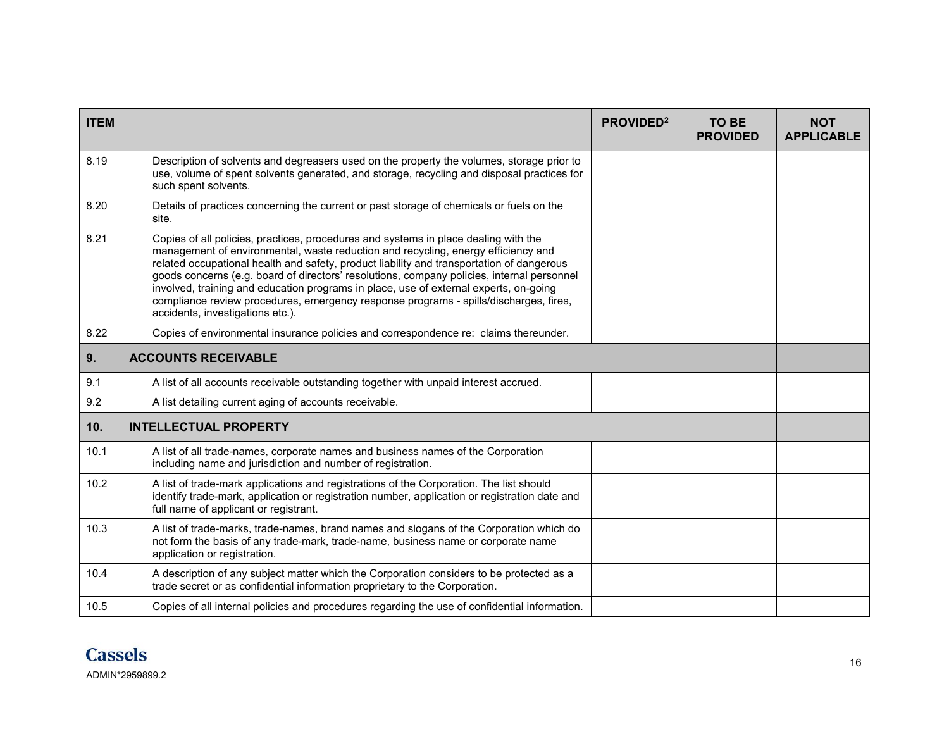| <b>ITEM</b> |                                                                                                                                                                                                                                                                                                                                                                                                                                                                                                                                                                                           | PROVIDED <sup>2</sup> | <b>TO BE</b><br><b>PROVIDED</b> | <b>NOT</b><br><b>APPLICABLE</b> |
|-------------|-------------------------------------------------------------------------------------------------------------------------------------------------------------------------------------------------------------------------------------------------------------------------------------------------------------------------------------------------------------------------------------------------------------------------------------------------------------------------------------------------------------------------------------------------------------------------------------------|-----------------------|---------------------------------|---------------------------------|
| 8.19        | Description of solvents and degreasers used on the property the volumes, storage prior to<br>use, volume of spent solvents generated, and storage, recycling and disposal practices for<br>such spent solvents.                                                                                                                                                                                                                                                                                                                                                                           |                       |                                 |                                 |
| 8.20        | Details of practices concerning the current or past storage of chemicals or fuels on the<br>site.                                                                                                                                                                                                                                                                                                                                                                                                                                                                                         |                       |                                 |                                 |
| 8.21        | Copies of all policies, practices, procedures and systems in place dealing with the<br>management of environmental, waste reduction and recycling, energy efficiency and<br>related occupational health and safety, product liability and transportation of dangerous<br>goods concerns (e.g. board of directors' resolutions, company policies, internal personnel<br>involved, training and education programs in place, use of external experts, on-going<br>compliance review procedures, emergency response programs - spills/discharges, fires,<br>accidents, investigations etc.). |                       |                                 |                                 |
| 8.22        | Copies of environmental insurance policies and correspondence re: claims thereunder.                                                                                                                                                                                                                                                                                                                                                                                                                                                                                                      |                       |                                 |                                 |
| 9.          | <b>ACCOUNTS RECEIVABLE</b>                                                                                                                                                                                                                                                                                                                                                                                                                                                                                                                                                                |                       |                                 |                                 |
| 9.1         | A list of all accounts receivable outstanding together with unpaid interest accrued.                                                                                                                                                                                                                                                                                                                                                                                                                                                                                                      |                       |                                 |                                 |
| 9.2         | A list detailing current aging of accounts receivable.                                                                                                                                                                                                                                                                                                                                                                                                                                                                                                                                    |                       |                                 |                                 |
| 10.         | <b>INTELLECTUAL PROPERTY</b>                                                                                                                                                                                                                                                                                                                                                                                                                                                                                                                                                              |                       |                                 |                                 |
| 10.1        | A list of all trade-names, corporate names and business names of the Corporation<br>including name and jurisdiction and number of registration.                                                                                                                                                                                                                                                                                                                                                                                                                                           |                       |                                 |                                 |
| 10.2        | A list of trade-mark applications and registrations of the Corporation. The list should<br>identify trade-mark, application or registration number, application or registration date and<br>full name of applicant or registrant.                                                                                                                                                                                                                                                                                                                                                         |                       |                                 |                                 |
| 10.3        | A list of trade-marks, trade-names, brand names and slogans of the Corporation which do<br>not form the basis of any trade-mark, trade-name, business name or corporate name<br>application or registration.                                                                                                                                                                                                                                                                                                                                                                              |                       |                                 |                                 |
| 10.4        | A description of any subject matter which the Corporation considers to be protected as a<br>trade secret or as confidential information proprietary to the Corporation.                                                                                                                                                                                                                                                                                                                                                                                                                   |                       |                                 |                                 |
| 10.5        | Copies of all internal policies and procedures regarding the use of confidential information.                                                                                                                                                                                                                                                                                                                                                                                                                                                                                             |                       |                                 |                                 |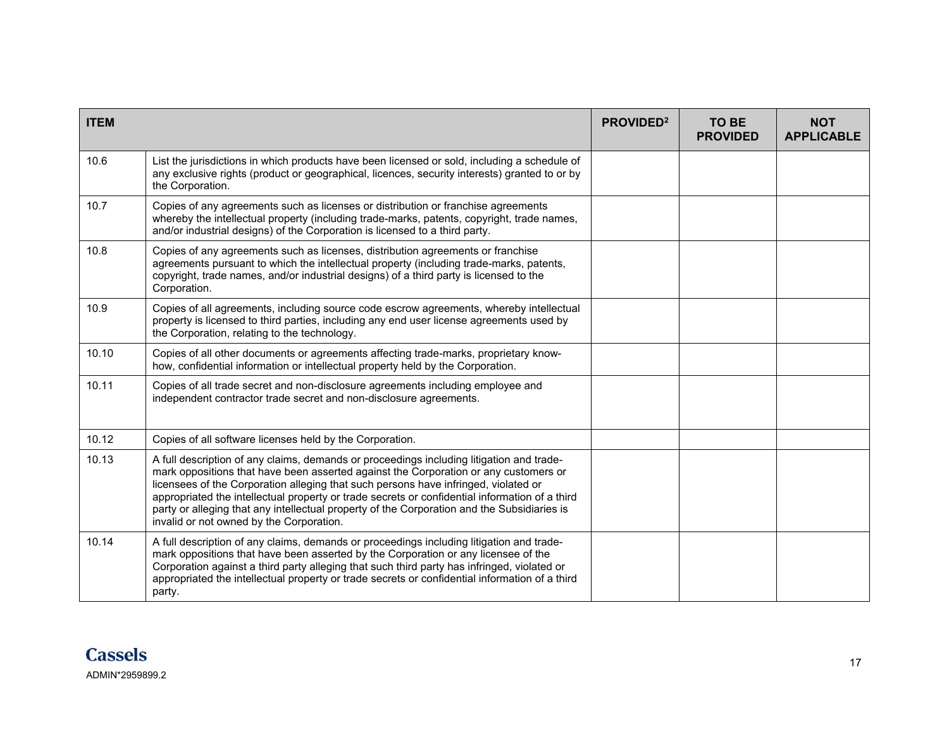| <b>ITEM</b> |                                                                                                                                                                                                                                                                                                                                                                                                                                                                                                                      | PROVIDED <sup>2</sup> | <b>TO BE</b><br><b>PROVIDED</b> | <b>NOT</b><br><b>APPLICABLE</b> |
|-------------|----------------------------------------------------------------------------------------------------------------------------------------------------------------------------------------------------------------------------------------------------------------------------------------------------------------------------------------------------------------------------------------------------------------------------------------------------------------------------------------------------------------------|-----------------------|---------------------------------|---------------------------------|
| 10.6        | List the jurisdictions in which products have been licensed or sold, including a schedule of<br>any exclusive rights (product or geographical, licences, security interests) granted to or by<br>the Corporation.                                                                                                                                                                                                                                                                                                    |                       |                                 |                                 |
| 10.7        | Copies of any agreements such as licenses or distribution or franchise agreements<br>whereby the intellectual property (including trade-marks, patents, copyright, trade names,<br>and/or industrial designs) of the Corporation is licensed to a third party.                                                                                                                                                                                                                                                       |                       |                                 |                                 |
| 10.8        | Copies of any agreements such as licenses, distribution agreements or franchise<br>agreements pursuant to which the intellectual property (including trade-marks, patents,<br>copyright, trade names, and/or industrial designs) of a third party is licensed to the<br>Corporation.                                                                                                                                                                                                                                 |                       |                                 |                                 |
| 10.9        | Copies of all agreements, including source code escrow agreements, whereby intellectual<br>property is licensed to third parties, including any end user license agreements used by<br>the Corporation, relating to the technology.                                                                                                                                                                                                                                                                                  |                       |                                 |                                 |
| 10.10       | Copies of all other documents or agreements affecting trade-marks, proprietary know-<br>how, confidential information or intellectual property held by the Corporation.                                                                                                                                                                                                                                                                                                                                              |                       |                                 |                                 |
| 10.11       | Copies of all trade secret and non-disclosure agreements including employee and<br>independent contractor trade secret and non-disclosure agreements.                                                                                                                                                                                                                                                                                                                                                                |                       |                                 |                                 |
| 10.12       | Copies of all software licenses held by the Corporation.                                                                                                                                                                                                                                                                                                                                                                                                                                                             |                       |                                 |                                 |
| 10.13       | A full description of any claims, demands or proceedings including litigation and trade-<br>mark oppositions that have been asserted against the Corporation or any customers or<br>licensees of the Corporation alleging that such persons have infringed, violated or<br>appropriated the intellectual property or trade secrets or confidential information of a third<br>party or alleging that any intellectual property of the Corporation and the Subsidiaries is<br>invalid or not owned by the Corporation. |                       |                                 |                                 |
| 10.14       | A full description of any claims, demands or proceedings including litigation and trade-<br>mark oppositions that have been asserted by the Corporation or any licensee of the<br>Corporation against a third party alleging that such third party has infringed, violated or<br>appropriated the intellectual property or trade secrets or confidential information of a third<br>party.                                                                                                                            |                       |                                 |                                 |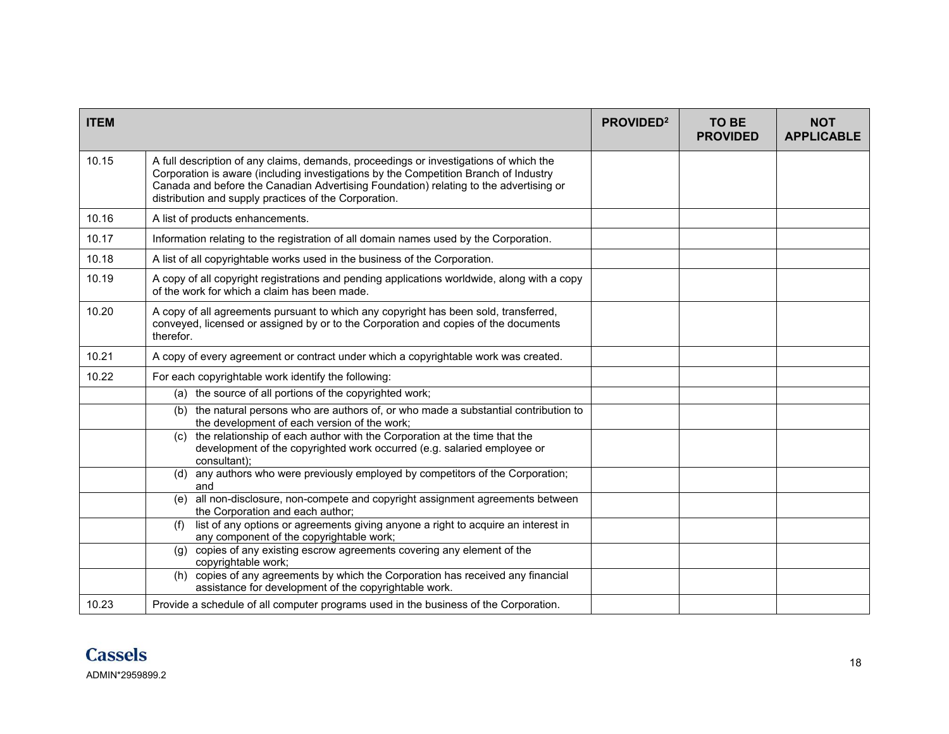| <b>ITEM</b> |                                                                                                                                                                                                                                                                                                                                 | PROVIDED <sup>2</sup> | TO BE<br><b>PROVIDED</b> | <b>NOT</b><br><b>APPLICABLE</b> |
|-------------|---------------------------------------------------------------------------------------------------------------------------------------------------------------------------------------------------------------------------------------------------------------------------------------------------------------------------------|-----------------------|--------------------------|---------------------------------|
| 10.15       | A full description of any claims, demands, proceedings or investigations of which the<br>Corporation is aware (including investigations by the Competition Branch of Industry<br>Canada and before the Canadian Advertising Foundation) relating to the advertising or<br>distribution and supply practices of the Corporation. |                       |                          |                                 |
| 10.16       | A list of products enhancements.                                                                                                                                                                                                                                                                                                |                       |                          |                                 |
| 10.17       | Information relating to the registration of all domain names used by the Corporation.                                                                                                                                                                                                                                           |                       |                          |                                 |
| 10.18       | A list of all copyrightable works used in the business of the Corporation.                                                                                                                                                                                                                                                      |                       |                          |                                 |
| 10.19       | A copy of all copyright registrations and pending applications worldwide, along with a copy<br>of the work for which a claim has been made.                                                                                                                                                                                     |                       |                          |                                 |
| 10.20       | A copy of all agreements pursuant to which any copyright has been sold, transferred,<br>conveyed, licensed or assigned by or to the Corporation and copies of the documents<br>therefor.                                                                                                                                        |                       |                          |                                 |
| 10.21       | A copy of every agreement or contract under which a copyrightable work was created.                                                                                                                                                                                                                                             |                       |                          |                                 |
| 10.22       | For each copyrightable work identify the following:                                                                                                                                                                                                                                                                             |                       |                          |                                 |
|             | (a) the source of all portions of the copyrighted work;                                                                                                                                                                                                                                                                         |                       |                          |                                 |
|             | (b) the natural persons who are authors of, or who made a substantial contribution to<br>the development of each version of the work;                                                                                                                                                                                           |                       |                          |                                 |
|             | the relationship of each author with the Corporation at the time that the<br>(c)<br>development of the copyrighted work occurred (e.g. salaried employee or<br>consultant):                                                                                                                                                     |                       |                          |                                 |
|             | any authors who were previously employed by competitors of the Corporation;<br>(d)<br>and                                                                                                                                                                                                                                       |                       |                          |                                 |
|             | (e) all non-disclosure, non-compete and copyright assignment agreements between<br>the Corporation and each author;                                                                                                                                                                                                             |                       |                          |                                 |
|             | list of any options or agreements giving anyone a right to acquire an interest in<br>(f)<br>any component of the copyrightable work;                                                                                                                                                                                            |                       |                          |                                 |
|             | copies of any existing escrow agreements covering any element of the<br>(g)<br>copyrightable work;                                                                                                                                                                                                                              |                       |                          |                                 |
|             | copies of any agreements by which the Corporation has received any financial<br>(h)<br>assistance for development of the copyrightable work.                                                                                                                                                                                    |                       |                          |                                 |
| 10.23       | Provide a schedule of all computer programs used in the business of the Corporation.                                                                                                                                                                                                                                            |                       |                          |                                 |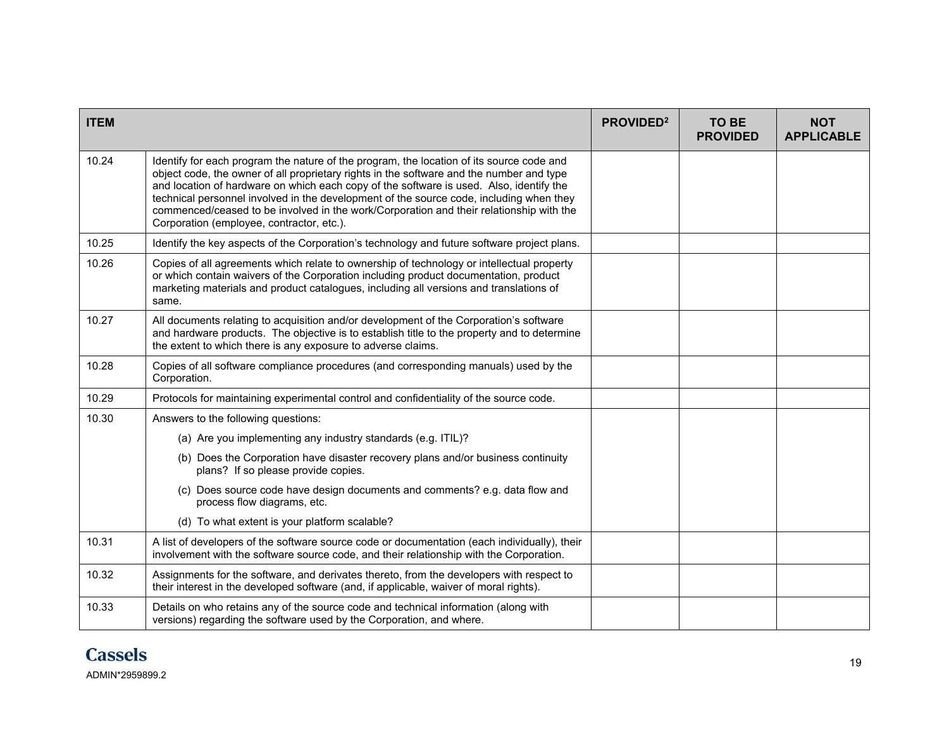| <b>ITEM</b> |                                                                                                                                                                                                                                                                                                                                                                                                                                                                                                                    | PROVIDED <sup>2</sup> | <b>TO BE</b><br><b>PROVIDED</b> | <b>NOT</b><br><b>APPLICABLE</b> |
|-------------|--------------------------------------------------------------------------------------------------------------------------------------------------------------------------------------------------------------------------------------------------------------------------------------------------------------------------------------------------------------------------------------------------------------------------------------------------------------------------------------------------------------------|-----------------------|---------------------------------|---------------------------------|
| 10.24       | Identify for each program the nature of the program, the location of its source code and<br>object code, the owner of all proprietary rights in the software and the number and type<br>and location of hardware on which each copy of the software is used. Also, identify the<br>technical personnel involved in the development of the source code, including when they<br>commenced/ceased to be involved in the work/Corporation and their relationship with the<br>Corporation (employee, contractor, etc.). |                       |                                 |                                 |
| 10.25       | Identify the key aspects of the Corporation's technology and future software project plans.                                                                                                                                                                                                                                                                                                                                                                                                                        |                       |                                 |                                 |
| 10.26       | Copies of all agreements which relate to ownership of technology or intellectual property<br>or which contain waivers of the Corporation including product documentation, product<br>marketing materials and product catalogues, including all versions and translations of<br>same.                                                                                                                                                                                                                               |                       |                                 |                                 |
| 10.27       | All documents relating to acquisition and/or development of the Corporation's software<br>and hardware products. The objective is to establish title to the property and to determine<br>the extent to which there is any exposure to adverse claims.                                                                                                                                                                                                                                                              |                       |                                 |                                 |
| 10.28       | Copies of all software compliance procedures (and corresponding manuals) used by the<br>Corporation.                                                                                                                                                                                                                                                                                                                                                                                                               |                       |                                 |                                 |
| 10.29       | Protocols for maintaining experimental control and confidentiality of the source code.                                                                                                                                                                                                                                                                                                                                                                                                                             |                       |                                 |                                 |
| 10.30       | Answers to the following questions:                                                                                                                                                                                                                                                                                                                                                                                                                                                                                |                       |                                 |                                 |
|             | (a) Are you implementing any industry standards (e.g. ITIL)?                                                                                                                                                                                                                                                                                                                                                                                                                                                       |                       |                                 |                                 |
|             | (b) Does the Corporation have disaster recovery plans and/or business continuity<br>plans? If so please provide copies.                                                                                                                                                                                                                                                                                                                                                                                            |                       |                                 |                                 |
|             | (c) Does source code have design documents and comments? e.g. data flow and<br>process flow diagrams, etc.                                                                                                                                                                                                                                                                                                                                                                                                         |                       |                                 |                                 |
|             | (d) To what extent is your platform scalable?                                                                                                                                                                                                                                                                                                                                                                                                                                                                      |                       |                                 |                                 |
| 10.31       | A list of developers of the software source code or documentation (each individually), their<br>involvement with the software source code, and their relationship with the Corporation.                                                                                                                                                                                                                                                                                                                            |                       |                                 |                                 |
| 10.32       | Assignments for the software, and derivates thereto, from the developers with respect to<br>their interest in the developed software (and, if applicable, waiver of moral rights).                                                                                                                                                                                                                                                                                                                                 |                       |                                 |                                 |
| 10.33       | Details on who retains any of the source code and technical information (along with<br>versions) regarding the software used by the Corporation, and where.                                                                                                                                                                                                                                                                                                                                                        |                       |                                 |                                 |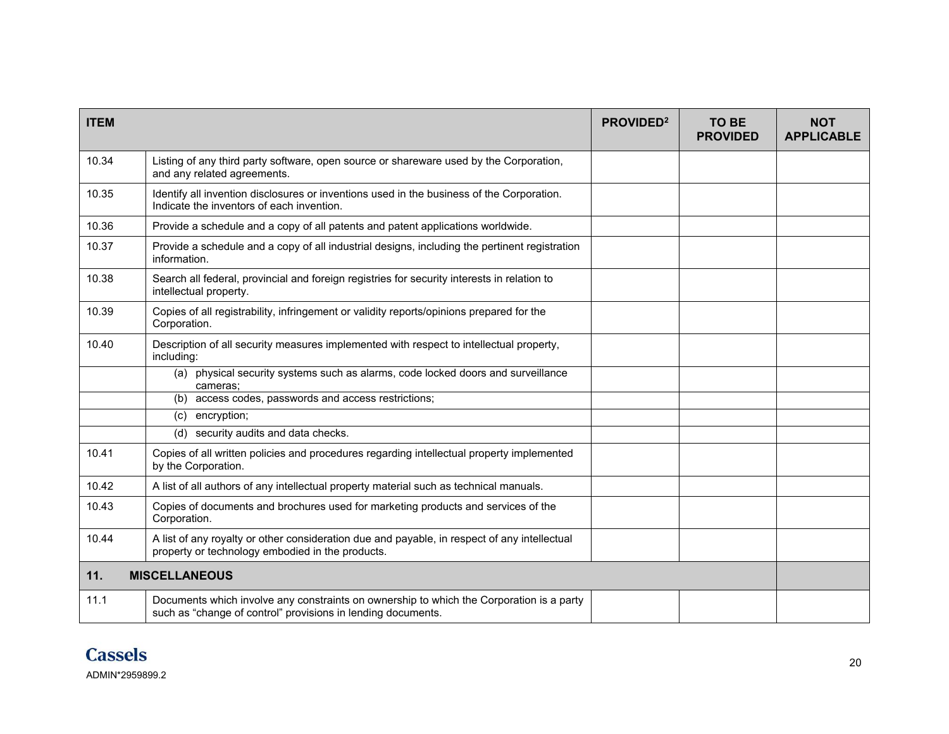| <b>ITEM</b> |                                                                                                                                                          | PROVIDED <sup>2</sup> | <b>TO BE</b><br><b>PROVIDED</b> | <b>NOT</b><br><b>APPLICABLE</b> |
|-------------|----------------------------------------------------------------------------------------------------------------------------------------------------------|-----------------------|---------------------------------|---------------------------------|
| 10.34       | Listing of any third party software, open source or shareware used by the Corporation,<br>and any related agreements.                                    |                       |                                 |                                 |
| 10.35       | Identify all invention disclosures or inventions used in the business of the Corporation.<br>Indicate the inventors of each invention.                   |                       |                                 |                                 |
| 10.36       | Provide a schedule and a copy of all patents and patent applications worldwide.                                                                          |                       |                                 |                                 |
| 10.37       | Provide a schedule and a copy of all industrial designs, including the pertinent registration<br>information.                                            |                       |                                 |                                 |
| 10.38       | Search all federal, provincial and foreign registries for security interests in relation to<br>intellectual property.                                    |                       |                                 |                                 |
| 10.39       | Copies of all registrability, infringement or validity reports/opinions prepared for the<br>Corporation.                                                 |                       |                                 |                                 |
| 10.40       | Description of all security measures implemented with respect to intellectual property,<br>including:                                                    |                       |                                 |                                 |
|             | (a) physical security systems such as alarms, code locked doors and surveillance<br>cameras:                                                             |                       |                                 |                                 |
|             | (b) access codes, passwords and access restrictions;                                                                                                     |                       |                                 |                                 |
|             | (c) encryption;                                                                                                                                          |                       |                                 |                                 |
|             | (d) security audits and data checks.                                                                                                                     |                       |                                 |                                 |
| 10.41       | Copies of all written policies and procedures regarding intellectual property implemented<br>by the Corporation.                                         |                       |                                 |                                 |
| 10.42       | A list of all authors of any intellectual property material such as technical manuals.                                                                   |                       |                                 |                                 |
| 10.43       | Copies of documents and brochures used for marketing products and services of the<br>Corporation.                                                        |                       |                                 |                                 |
| 10.44       | A list of any royalty or other consideration due and payable, in respect of any intellectual<br>property or technology embodied in the products.         |                       |                                 |                                 |
| 11.         | <b>MISCELLANEOUS</b>                                                                                                                                     |                       |                                 |                                 |
| 11.1        | Documents which involve any constraints on ownership to which the Corporation is a party<br>such as "change of control" provisions in lending documents. |                       |                                 |                                 |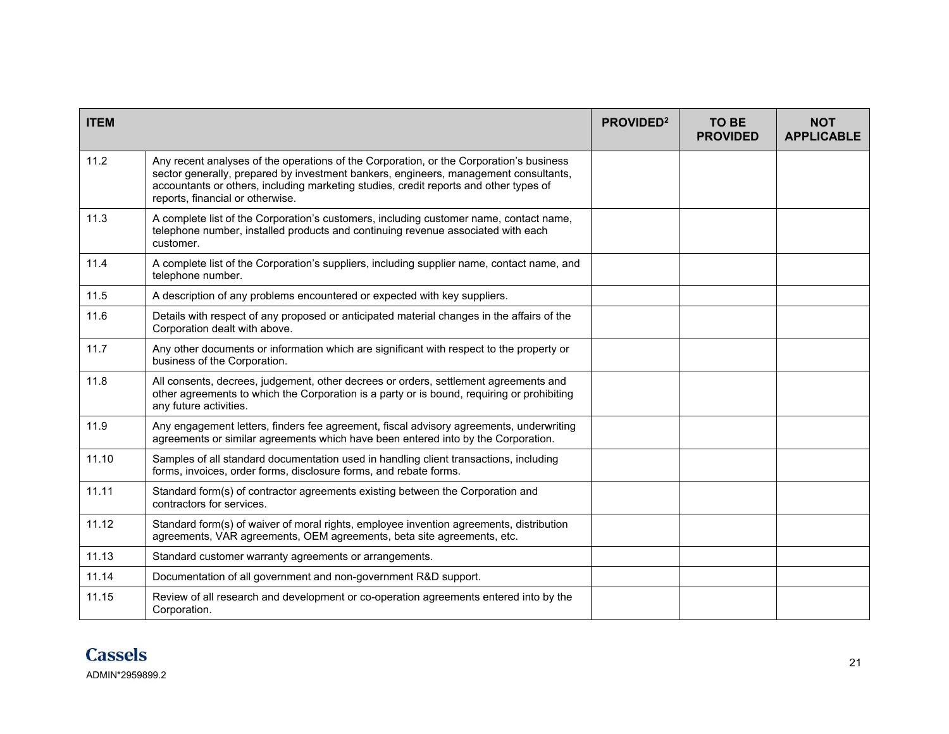| <b>ITEM</b> |                                                                                                                                                                                                                                                                                                              | PROVIDED <sup>2</sup> | <b>TO BE</b><br><b>PROVIDED</b> | <b>NOT</b><br><b>APPLICABLE</b> |
|-------------|--------------------------------------------------------------------------------------------------------------------------------------------------------------------------------------------------------------------------------------------------------------------------------------------------------------|-----------------------|---------------------------------|---------------------------------|
| 11.2        | Any recent analyses of the operations of the Corporation, or the Corporation's business<br>sector generally, prepared by investment bankers, engineers, management consultants,<br>accountants or others, including marketing studies, credit reports and other types of<br>reports, financial or otherwise. |                       |                                 |                                 |
| 11.3        | A complete list of the Corporation's customers, including customer name, contact name,<br>telephone number, installed products and continuing revenue associated with each<br>customer.                                                                                                                      |                       |                                 |                                 |
| 11.4        | A complete list of the Corporation's suppliers, including supplier name, contact name, and<br>telephone number.                                                                                                                                                                                              |                       |                                 |                                 |
| 11.5        | A description of any problems encountered or expected with key suppliers.                                                                                                                                                                                                                                    |                       |                                 |                                 |
| 11.6        | Details with respect of any proposed or anticipated material changes in the affairs of the<br>Corporation dealt with above.                                                                                                                                                                                  |                       |                                 |                                 |
| 11.7        | Any other documents or information which are significant with respect to the property or<br>business of the Corporation.                                                                                                                                                                                     |                       |                                 |                                 |
| 11.8        | All consents, decrees, judgement, other decrees or orders, settlement agreements and<br>other agreements to which the Corporation is a party or is bound, requiring or prohibiting<br>any future activities.                                                                                                 |                       |                                 |                                 |
| 11.9        | Any engagement letters, finders fee agreement, fiscal advisory agreements, underwriting<br>agreements or similar agreements which have been entered into by the Corporation.                                                                                                                                 |                       |                                 |                                 |
| 11.10       | Samples of all standard documentation used in handling client transactions, including<br>forms, invoices, order forms, disclosure forms, and rebate forms.                                                                                                                                                   |                       |                                 |                                 |
| 11.11       | Standard form(s) of contractor agreements existing between the Corporation and<br>contractors for services.                                                                                                                                                                                                  |                       |                                 |                                 |
| 11.12       | Standard form(s) of waiver of moral rights, employee invention agreements, distribution<br>agreements, VAR agreements, OEM agreements, beta site agreements, etc.                                                                                                                                            |                       |                                 |                                 |
| 11.13       | Standard customer warranty agreements or arrangements.                                                                                                                                                                                                                                                       |                       |                                 |                                 |
| 11.14       | Documentation of all government and non-government R&D support.                                                                                                                                                                                                                                              |                       |                                 |                                 |
| 11.15       | Review of all research and development or co-operation agreements entered into by the<br>Corporation.                                                                                                                                                                                                        |                       |                                 |                                 |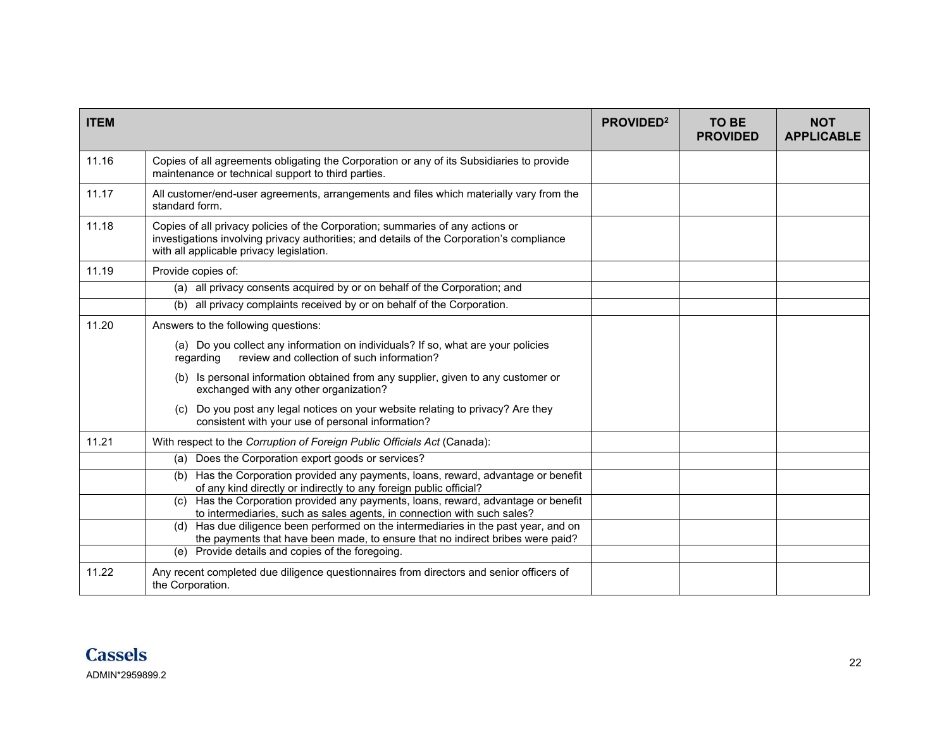| <b>ITEM</b> |                                                                                                                                                                                                                         | PROVIDED <sup>2</sup> | TO BE<br><b>PROVIDED</b> | <b>NOT</b><br><b>APPLICABLE</b> |
|-------------|-------------------------------------------------------------------------------------------------------------------------------------------------------------------------------------------------------------------------|-----------------------|--------------------------|---------------------------------|
| 11.16       | Copies of all agreements obligating the Corporation or any of its Subsidiaries to provide<br>maintenance or technical support to third parties.                                                                         |                       |                          |                                 |
| 11.17       | All customer/end-user agreements, arrangements and files which materially vary from the<br>standard form.                                                                                                               |                       |                          |                                 |
| 11.18       | Copies of all privacy policies of the Corporation; summaries of any actions or<br>investigations involving privacy authorities; and details of the Corporation's compliance<br>with all applicable privacy legislation. |                       |                          |                                 |
| 11.19       | Provide copies of:                                                                                                                                                                                                      |                       |                          |                                 |
|             | (a) all privacy consents acquired by or on behalf of the Corporation; and                                                                                                                                               |                       |                          |                                 |
|             | all privacy complaints received by or on behalf of the Corporation.<br>(b)                                                                                                                                              |                       |                          |                                 |
| 11.20       | Answers to the following questions:                                                                                                                                                                                     |                       |                          |                                 |
|             | (a) Do you collect any information on individuals? If so, what are your policies<br>review and collection of such information?<br>regarding                                                                             |                       |                          |                                 |
|             | (b) Is personal information obtained from any supplier, given to any customer or<br>exchanged with any other organization?                                                                                              |                       |                          |                                 |
|             | (c) Do you post any legal notices on your website relating to privacy? Are they<br>consistent with your use of personal information?                                                                                    |                       |                          |                                 |
| 11.21       | With respect to the Corruption of Foreign Public Officials Act (Canada):                                                                                                                                                |                       |                          |                                 |
|             | (a) Does the Corporation export goods or services?                                                                                                                                                                      |                       |                          |                                 |
|             | Has the Corporation provided any payments, loans, reward, advantage or benefit<br>(b)<br>of any kind directly or indirectly to any foreign public official?                                                             |                       |                          |                                 |
|             | (c) Has the Corporation provided any payments, loans, reward, advantage or benefit<br>to intermediaries, such as sales agents, in connection with such sales?                                                           |                       |                          |                                 |
|             | (d) Has due diligence been performed on the intermediaries in the past year, and on<br>the payments that have been made, to ensure that no indirect bribes were paid?                                                   |                       |                          |                                 |
|             | (e) Provide details and copies of the foregoing.                                                                                                                                                                        |                       |                          |                                 |
| 11.22       | Any recent completed due diligence questionnaires from directors and senior officers of<br>the Corporation.                                                                                                             |                       |                          |                                 |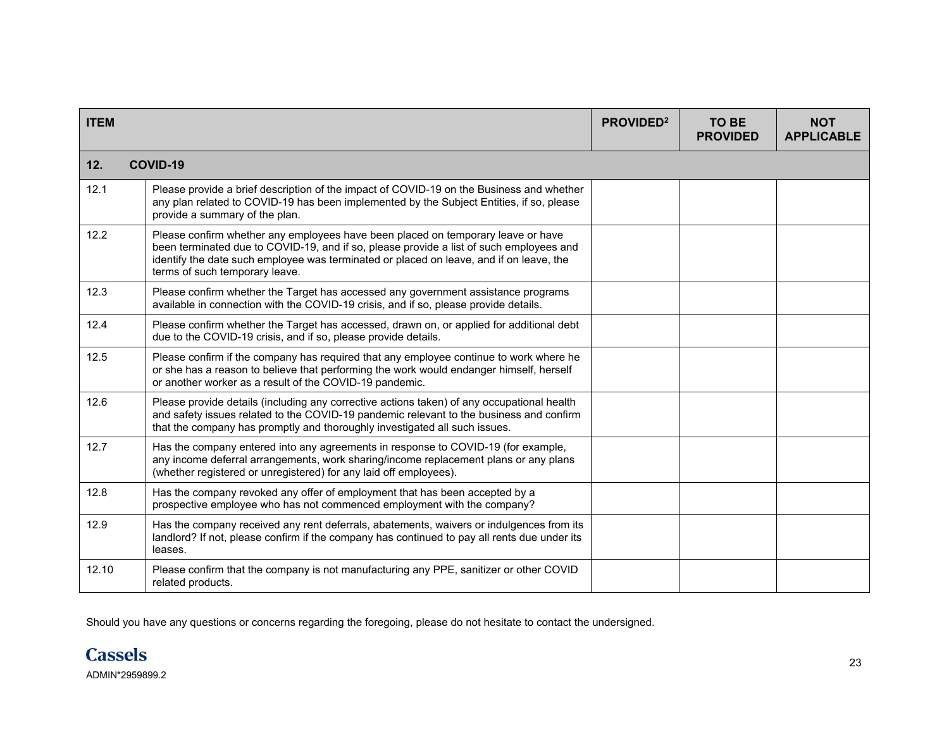| <b>ITEM</b> |                                                                                                                                                                                                                                                                                                          | PROVIDED <sup>2</sup> | <b>TO BE</b><br><b>PROVIDED</b> | <b>NOT</b><br><b>APPLICABLE</b> |
|-------------|----------------------------------------------------------------------------------------------------------------------------------------------------------------------------------------------------------------------------------------------------------------------------------------------------------|-----------------------|---------------------------------|---------------------------------|
| 12.         | <b>COVID-19</b>                                                                                                                                                                                                                                                                                          |                       |                                 |                                 |
| 12.1        | Please provide a brief description of the impact of COVID-19 on the Business and whether<br>any plan related to COVID-19 has been implemented by the Subject Entities, if so, please<br>provide a summary of the plan.                                                                                   |                       |                                 |                                 |
| 12.2        | Please confirm whether any employees have been placed on temporary leave or have<br>been terminated due to COVID-19, and if so, please provide a list of such employees and<br>identify the date such employee was terminated or placed on leave, and if on leave, the<br>terms of such temporary leave. |                       |                                 |                                 |
| 12.3        | Please confirm whether the Target has accessed any government assistance programs<br>available in connection with the COVID-19 crisis, and if so, please provide details.                                                                                                                                |                       |                                 |                                 |
| 12.4        | Please confirm whether the Target has accessed, drawn on, or applied for additional debt<br>due to the COVID-19 crisis, and if so, please provide details.                                                                                                                                               |                       |                                 |                                 |
| 12.5        | Please confirm if the company has required that any employee continue to work where he<br>or she has a reason to believe that performing the work would endanger himself, herself<br>or another worker as a result of the COVID-19 pandemic.                                                             |                       |                                 |                                 |
| 12.6        | Please provide details (including any corrective actions taken) of any occupational health<br>and safety issues related to the COVID-19 pandemic relevant to the business and confirm<br>that the company has promptly and thoroughly investigated all such issues.                                      |                       |                                 |                                 |
| 12.7        | Has the company entered into any agreements in response to COVID-19 (for example,<br>any income deferral arrangements, work sharing/income replacement plans or any plans<br>(whether registered or unregistered) for any laid off employees).                                                           |                       |                                 |                                 |
| 12.8        | Has the company revoked any offer of employment that has been accepted by a<br>prospective employee who has not commenced employment with the company?                                                                                                                                                   |                       |                                 |                                 |
| 12.9        | Has the company received any rent deferrals, abatements, waivers or indulgences from its<br>landlord? If not, please confirm if the company has continued to pay all rents due under its<br>leases.                                                                                                      |                       |                                 |                                 |
| 12.10       | Please confirm that the company is not manufacturing any PPE, sanitizer or other COVID<br>related products.                                                                                                                                                                                              |                       |                                 |                                 |

Should you have any questions or concerns regarding the foregoing, please do not hesitate to contact the undersigned.